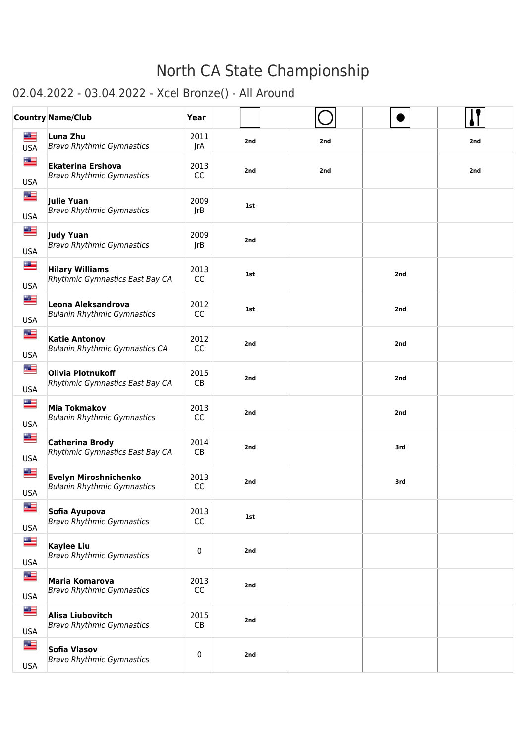### 02.04.2022 - 03.04.2022 - Xcel Bronze() - All Around

|                             | <b>Country Name/Club</b>                                      | Year        |     |     |     |     |
|-----------------------------|---------------------------------------------------------------|-------------|-----|-----|-----|-----|
| ▄▆<br><b>USA</b>            | Luna Zhu<br><b>Bravo Rhythmic Gymnastics</b>                  | 2011<br>JrA | 2nd | 2nd |     | 2nd |
| █▆<br><b>USA</b>            | <b>Ekaterina Ershova</b><br><b>Bravo Rhythmic Gymnastics</b>  | 2013<br>CC  | 2nd | 2nd |     | 2nd |
| █<br><b>USA</b>             | <b>Julie Yuan</b><br><b>Bravo Rhythmic Gymnastics</b>         | 2009<br>JrB | 1st |     |     |     |
| █▆<br><b>USA</b>            | <b>Judy Yuan</b><br><b>Bravo Rhythmic Gymnastics</b>          | 2009<br>JrB | 2nd |     |     |     |
| █▆<br><b>USA</b>            | <b>Hilary Williams</b><br>Rhythmic Gymnastics East Bay CA     | 2013<br>CC  | 1st |     | 2nd |     |
| <u> III p</u><br><b>USA</b> | Leona Aleksandrova<br><b>Bulanin Rhythmic Gymnastics</b>      | 2012<br>CC  | 1st |     | 2nd |     |
| █<br><b>USA</b>             | <b>Katie Antonov</b><br><b>Bulanin Rhythmic Gymnastics CA</b> | 2012<br>CC  | 2nd |     | 2nd |     |
| █▆<br><b>USA</b>            | Olivia Plotnukoff<br>Rhythmic Gymnastics East Bay CA          | 2015<br>CB  | 2nd |     | 2nd |     |
| <u>est</u><br><b>USA</b>    | <b>Mia Tokmakov</b><br><b>Bulanin Rhythmic Gymnastics</b>     | 2013<br>CC  | 2nd |     | 2nd |     |
| <u> III p</u><br><b>USA</b> | <b>Catherina Brody</b><br>Rhythmic Gymnastics East Bay CA     | 2014<br>CB  | 2nd |     | 3rd |     |
| <u>as</u><br><b>USA</b>     | Evelyn Miroshnichenko<br><b>Bulanin Rhythmic Gymnastics</b>   | 2013<br>CC  | 2nd |     | 3rd |     |
| ██<br><b>USA</b>            | Sofia Ayupova<br><b>Bravo Rhythmic Gymnastics</b>             | 2013<br>CC  | 1st |     |     |     |
| E<br><b>USA</b>             | <b>Kaylee Liu</b><br><b>Bravo Rhythmic Gymnastics</b>         | 0           | 2nd |     |     |     |
| ▇≡<br><b>USA</b>            | Maria Komarova<br><b>Bravo Rhythmic Gymnastics</b>            | 2013<br>CC  | 2nd |     |     |     |
| <u>as</u><br><b>USA</b>     | <b>Alisa Liubovitch</b><br><b>Bravo Rhythmic Gymnastics</b>   | 2015<br>CB  | 2nd |     |     |     |
| █▆<br><b>USA</b>            | Sofia Vlasov<br><b>Bravo Rhythmic Gymnastics</b>              | 0           | 2nd |     |     |     |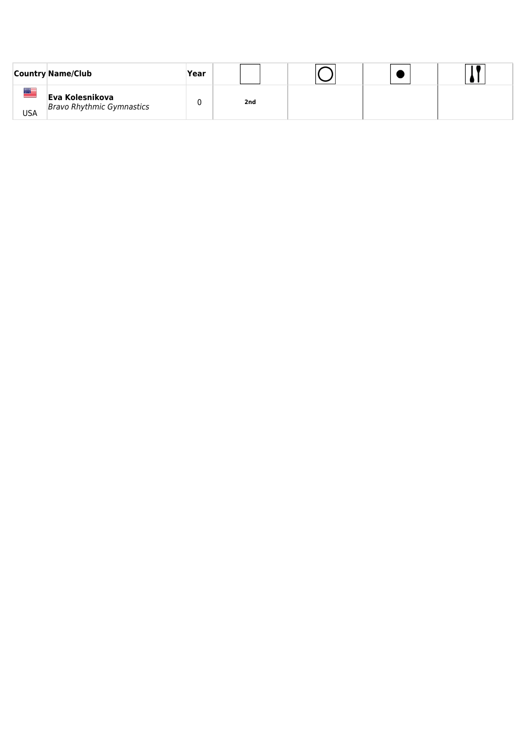|           | <b>Country Name/Club</b>                            | Year |     |  |  |
|-----------|-----------------------------------------------------|------|-----|--|--|
| ██<br>USA | Eva Kolesnikova<br><b>Bravo Rhythmic Gymnastics</b> |      | 2nd |  |  |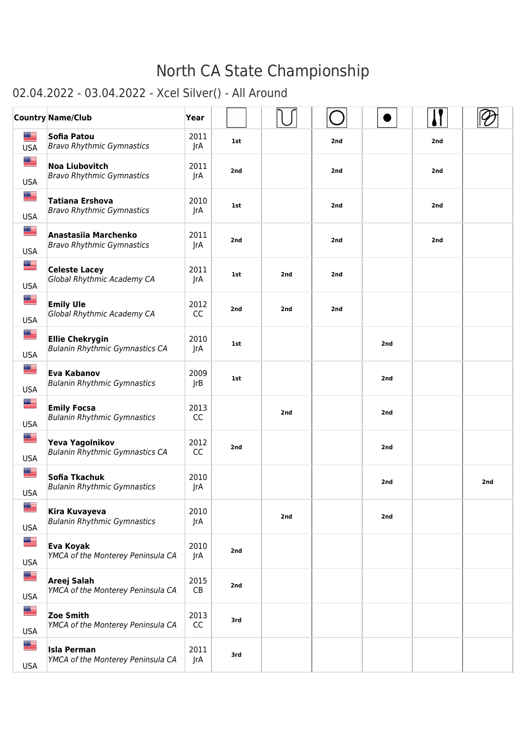### 02.04.2022 - 03.04.2022 - Xcel Silver() - All Around

|                          | <b>Country Name/Club</b>                                        | Year              |     |     |     |     |     |     |
|--------------------------|-----------------------------------------------------------------|-------------------|-----|-----|-----|-----|-----|-----|
| æ<br><b>USA</b>          | Sofia Patou<br><b>Bravo Rhythmic Gymnastics</b>                 | 2011<br>JrA       | 1st |     | 2nd |     | 2nd |     |
| █▆<br><b>USA</b>         | <b>Noa Liubovitch</b><br><b>Bravo Rhythmic Gymnastics</b>       | 2011<br>JrA       | 2nd |     | 2nd |     | 2nd |     |
| ██<br><b>USA</b>         | <b>Tatiana Ershova</b><br><b>Bravo Rhythmic Gymnastics</b>      | 2010<br>JrA       | 1st |     | 2nd |     | 2nd |     |
| █≡<br><b>USA</b>         | Anastasiia Marchenko<br><b>Bravo Rhythmic Gymnastics</b>        | 2011<br>JrA       | 2nd |     | 2nd |     | 2nd |     |
| █▇<br><b>USA</b>         | <b>Celeste Lacey</b><br>Global Rhythmic Academy CA              | 2011<br>JrA       | 1st | 2nd | 2nd |     |     |     |
| █▆<br><b>USA</b>         | <b>Emily Ule</b><br>Global Rhythmic Academy CA                  | 2012<br><b>CC</b> | 2nd | 2nd | 2nd |     |     |     |
| █▆<br><b>USA</b>         | <b>Ellie Chekrygin</b><br><b>Bulanin Rhythmic Gymnastics CA</b> | 2010<br>JrA       | 1st |     |     | 2nd |     |     |
| █▆<br><b>USA</b>         | <b>Eva Kabanov</b><br><b>Bulanin Rhythmic Gymnastics</b>        | 2009<br>JrB       | 1st |     |     | 2nd |     |     |
| █▆<br><b>USA</b>         | <b>Emily Focsa</b><br><b>Bulanin Rhythmic Gymnastics</b>        | 2013<br>CC        |     | 2nd |     | 2nd |     |     |
| █▆<br><b>USA</b>         | Yeva Yagolnikov<br><b>Bulanin Rhythmic Gymnastics CA</b>        | 2012<br><b>CC</b> | 2nd |     |     | 2nd |     |     |
| █▆<br><b>USA</b>         | Sofia Tkachuk<br><b>Bulanin Rhythmic Gymnastics</b>             | 2010<br>JrA       |     |     |     | 2nd |     | 2nd |
| <u>si </u><br><b>USA</b> | Kira Kuvayeva<br><b>Bulanin Rhythmic Gymnastics</b>             | 2010<br>JrA       |     | 2nd |     | 2nd |     |     |
| █≡<br><b>USA</b>         | <b>Eva Koyak</b><br>YMCA of the Monterey Peninsula CA           | 2010<br>JrA       | 2nd |     |     |     |     |     |
| E<br><b>USA</b>          | Areej Salah<br>YMCA of the Monterey Peninsula CA                | 2015<br>CB        | 2nd |     |     |     |     |     |
| █▆<br><b>USA</b>         | <b>Zoe Smith</b><br>YMCA of the Monterey Peninsula CA           | 2013<br>CC        | 3rd |     |     |     |     |     |
| █▆<br><b>USA</b>         | <b>Isla Perman</b><br>YMCA of the Monterey Peninsula CA         | 2011<br>JrA       | 3rd |     |     |     |     |     |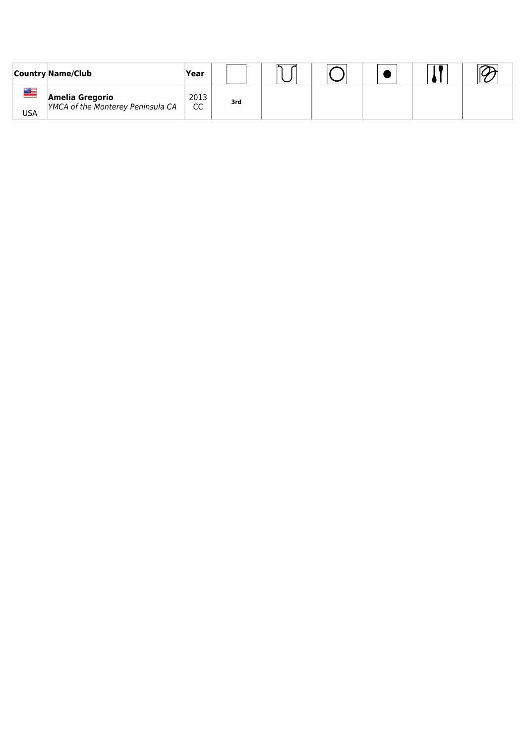|          | <b>Country Name/Club</b>                             | Year                  |     |  |  |  |
|----------|------------------------------------------------------|-----------------------|-----|--|--|--|
| ▆<br>USA | Amelia Gregorio<br>YMCA of the Monterey Peninsula CA | 2013<br><sub>CC</sub> | 3rd |  |  |  |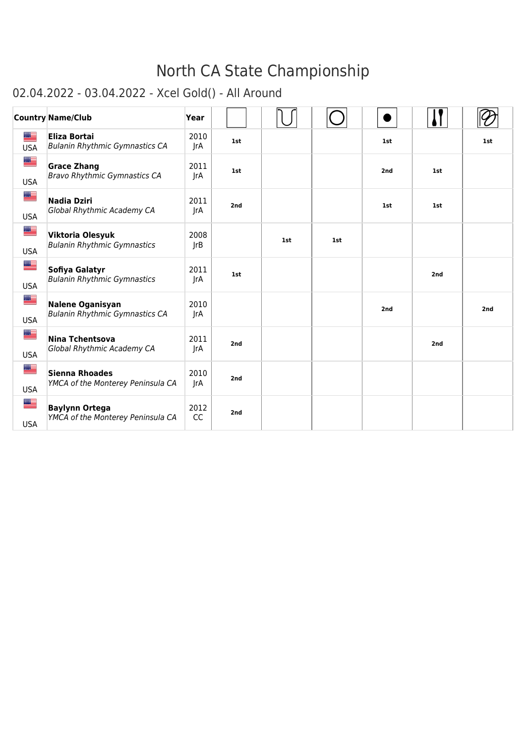#### 02.04.2022 - 03.04.2022 - Xcel Gold() - All Around

|                          | <b>Country Name/Club</b>                                         | Year               |     |     |     |     |     |     |
|--------------------------|------------------------------------------------------------------|--------------------|-----|-----|-----|-----|-----|-----|
| ▆▆<br><b>USA</b>         | <b>Eliza Bortai</b><br><b>Bulanin Rhythmic Gymnastics CA</b>     | 2010<br><b>JrA</b> | 1st |     |     | 1st |     | 1st |
| <u>a </u><br><b>USA</b>  | <b>Grace Zhang</b><br><b>Bravo Rhythmic Gymnastics CA</b>        | 2011<br>JrA        | 1st |     |     | 2nd | 1st |     |
| ≝<br><b>USA</b>          | <b>Nadia Dziri</b><br>Global Rhythmic Academy CA                 | 2011<br>JrA        | 2nd |     |     | 1st | 1st |     |
| ≝<br><b>USA</b>          | Viktoria Olesyuk<br><b>Bulanin Rhythmic Gymnastics</b>           | 2008<br>JrB        |     | 1st | 1st |     |     |     |
| <u>est</u><br><b>USA</b> | Sofiya Galatyr<br><b>Bulanin Rhythmic Gymnastics</b>             | 2011<br>JrA        | 1st |     |     |     | 2nd |     |
| ▆▆<br><b>USA</b>         | <b>Nalene Oganisyan</b><br><b>Bulanin Rhythmic Gymnastics CA</b> | 2010<br>JrA        |     |     |     | 2nd |     | 2nd |
| ▆▆<br><b>USA</b>         | <b>Nina Tchentsova</b><br>Global Rhythmic Academy CA             | 2011<br>JrA        | 2nd |     |     |     | 2nd |     |
| ▆▆<br><b>USA</b>         | <b>Sienna Rhoades</b><br>YMCA of the Monterey Peninsula CA       | 2010<br>JrA        | 2nd |     |     |     |     |     |
| ≝<br><b>USA</b>          | <b>Baylynn Ortega</b><br>YMCA of the Monterey Peninsula CA       | 2012<br><b>CC</b>  | 2nd |     |     |     |     |     |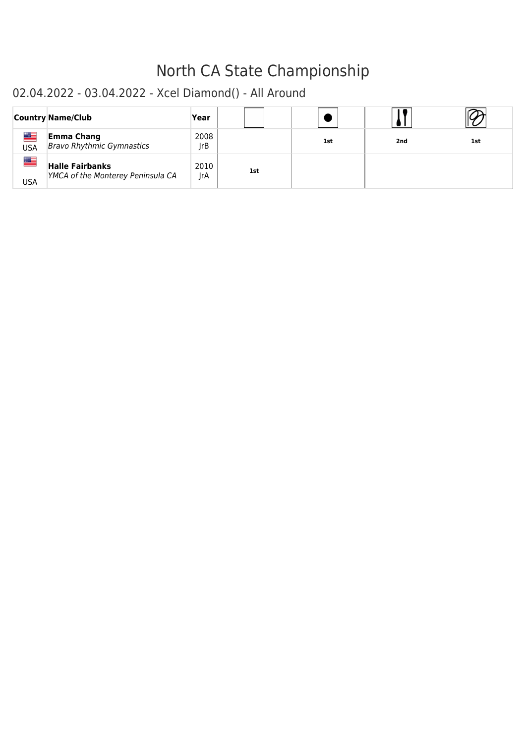#### 02.04.2022 - 03.04.2022 - Xcel Diamond() - All Around

|                  | <b>Country Name/Club</b>                                    | Year        |            |     |     |     |
|------------------|-------------------------------------------------------------|-------------|------------|-----|-----|-----|
| █▆<br><b>USA</b> | <b>Emma Chang</b><br><b>Bravo Rhythmic Gymnastics</b>       | 2008<br>JrB |            | 1st | 2nd | 1st |
| █<br><b>USA</b>  | <b>Halle Fairbanks</b><br>YMCA of the Monterey Peninsula CA | 2010<br>JrA | <b>1st</b> |     |     |     |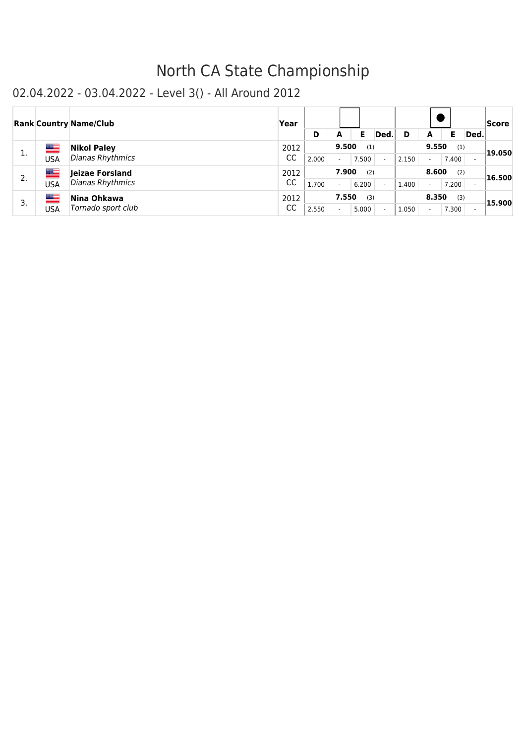|    |             | <b>Rank Country Name/Club</b> | Year | D     | A     | Е     | Ded. | D     | A                        | Е     | Ded. | Score  |
|----|-------------|-------------------------------|------|-------|-------|-------|------|-------|--------------------------|-------|------|--------|
| 1. | ▆▆          | <b>Nikol Paley</b>            | 2012 |       | 9.500 | (1)   |      |       | 9.550                    | (1)   |      | 19.050 |
|    | USA         | Dianas Rhythmics              | CC   | 2.000 |       | 7.500 |      | 2.150 | $\overline{\phantom{a}}$ | 7.400 |      |        |
| 2. |             | Jeizae Forsland               | 2012 |       | 7.900 | (2)   |      |       | 8.600                    | (2)   |      | 16.500 |
|    | USA         | Dianas Rhythmics              | CC   | 1.700 |       | 6.200 |      | 1.400 | $\overline{\phantom{a}}$ | 7.200 |      |        |
| 3. | <u>an B</u> | Nina Ohkawa                   | 2012 |       | 7.550 | (3)   |      |       | 8.350                    | (3)   |      |        |
|    | USA         | Tornado sport club            | CC   | 2.550 |       | 5.000 |      | 1.050 | $\overline{\phantom{a}}$ | 7.300 |      | 15.900 |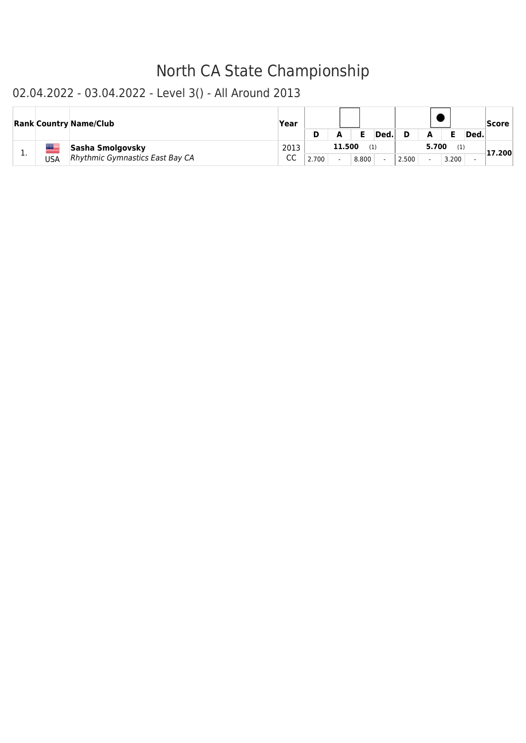|     |     | <b>Rank Country Name/Club</b>                       | Year       |       |        |       | Ded. |       | А                                 |              | Ded. | <b>Score</b> |
|-----|-----|-----------------------------------------------------|------------|-------|--------|-------|------|-------|-----------------------------------|--------------|------|--------------|
| . . | USA | Sasha Smolgovsky<br>Rhythmic Gymnastics East Bay CA | 2013<br>CC | 2.700 | 11.500 | 8.800 | (1)  | 2.500 | 5.700<br>$\overline{\phantom{0}}$ | (1)<br>3.200 |      | 17.200       |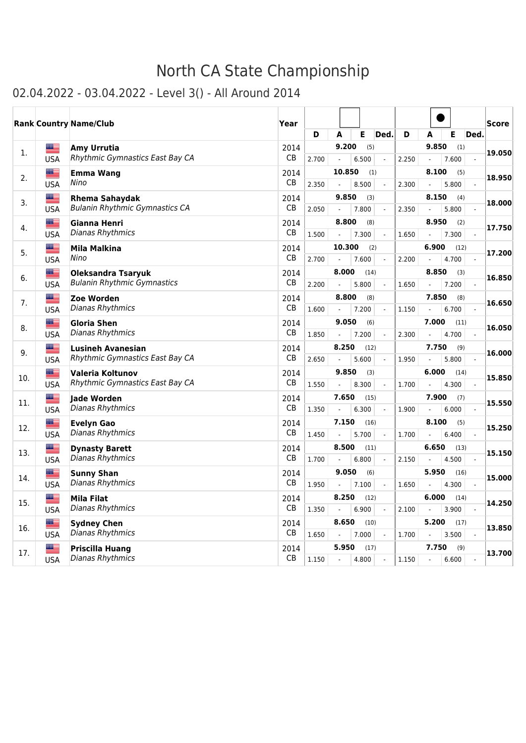|     |                  | <b>Rank Country Name/Club</b>                    | Year              |       |                          |        |               |                          |       |                                   |               |                | <b>Score</b> |
|-----|------------------|--------------------------------------------------|-------------------|-------|--------------------------|--------|---------------|--------------------------|-------|-----------------------------------|---------------|----------------|--------------|
|     |                  |                                                  |                   | D     | A                        |        | Е             | <b>Ded</b>               | D     | A                                 | E             | Ded.           |              |
| 1.  | █                | Amy Urrutia                                      | 2014              |       |                          | 9.200  | (5)           |                          |       | 9.850                             | (1)           |                | 19.050       |
|     | <b>USA</b>       | Rhythmic Gymnastics East Bay CA                  | <b>CB</b>         | 2.700 |                          |        | 6.500         |                          | 2.250 | $\overline{a}$                    | 7.600         | $\mathcal{L}$  |              |
| 2.  | ▆▆               | <b>Emma Wang</b>                                 | 2014              |       |                          | 10.850 | (1)           |                          |       | 8.100                             | (5)           |                | 18.950       |
|     | <b>USA</b>       | Nino                                             | <b>CB</b>         | 2.350 |                          |        | 8.500         | $\overline{a}$           | 2.300 | $\overline{a}$                    | 5.800         |                |              |
| 3.  | ██               | <b>Rhema Sahaydak</b>                            | 2014              |       |                          | 9.850  | (3)           |                          |       | 8.150                             | (4)           |                | 18.000       |
|     | <b>USA</b>       | <b>Bulanin Rhythmic Gymnastics CA</b>            | CB                | 2.050 |                          |        | 7.800         |                          | 2.350 |                                   | 5.800         |                |              |
| 4.  | █▆               | Gianna Henri<br>Dianas Rhythmics                 | 2014<br><b>CB</b> |       |                          | 8.800  | (8)           |                          |       | 8.950                             | (2)           |                | 17.750       |
|     | <b>USA</b>       |                                                  |                   | 1.500 |                          |        | 7.300         |                          | 1.650 |                                   | 7.300         |                |              |
| 5.  | █▆<br><b>USA</b> | Mila Malkina<br>Nino                             | 2014<br><b>CB</b> | 2.700 | $\overline{\phantom{a}}$ | 10.300 | (2)<br>7.600  |                          | 2.200 | 6.900<br>$\overline{\phantom{a}}$ | (12)<br>4.700 |                | 17.200       |
|     | ██               | <b>Oleksandra Tsaryuk</b>                        | 2014              |       |                          | 8.000  | (14)          |                          |       | 8.850                             | (3)           |                |              |
| 6.  | <b>USA</b>       | <b>Bulanin Rhythmic Gymnastics</b>               | <b>CB</b>         | 2.200 | $\overline{a}$           |        | 5.800         |                          | 1.650 | $\blacksquare$                    | 7.200         |                | 16.850       |
|     | <u> a </u>       | Zoe Worden                                       | 2014              |       |                          | 8.800  | (8)           |                          |       | 7.850                             | (8)           |                |              |
| 7.  | <b>USA</b>       | Dianas Rhythmics                                 | CB                | 1.600 | $\overline{\phantom{a}}$ |        | 7.200         |                          | 1.150 | $\overline{\phantom{a}}$          | 6.700         |                | 16.650       |
|     | ▇                | Gloria Shen                                      | 2014              |       |                          | 9.050  | (6)           |                          |       | 7.000                             | (11)          |                |              |
| 8.  | <b>USA</b>       | Dianas Rhythmics                                 | <b>CB</b>         | 1.850 |                          |        | 7.200         | $\blacksquare$           | 2.300 | $\blacksquare$                    | 4.700         | $\blacksquare$ | 16.050       |
| 9.  | █▆               | <b>Lusineh Avanesian</b>                         | 2014              |       |                          | 8.250  | (12)          |                          |       | 7.750                             | (9)           |                | 16.000       |
|     | <b>USA</b>       | Rhythmic Gymnastics East Bay CA                  | CB                | 2.650 |                          |        | 5.600         |                          | 1.950 |                                   | 5.800         | $\blacksquare$ |              |
| 10. | █▉               | Valeria Koltunov                                 | 2014              |       |                          | 9.850  | (3)           |                          |       | 6.000                             | (14)          |                | 15.850       |
|     | <b>USA</b>       | Rhythmic Gymnastics East Bay CA                  | СB                | 1.550 |                          |        | 8.300         |                          | 1.700 |                                   | 4.300         | $\Box$         |              |
| 11. | █▁               | lade Worden                                      | 2014              |       |                          | 7.650  | (15)          |                          |       | 7.900                             | (7)           |                | 15.550       |
|     | <b>USA</b>       | Dianas Rhythmics                                 | CB                | 1.350 |                          |        | 6.300         | $\blacksquare$           | 1.900 |                                   | 6.000         | $\blacksquare$ |              |
| 12. | █▆               | <b>Evelyn Gao</b><br>Dianas Rhythmics            | 2014<br><b>CB</b> |       |                          | 7.150  | (16)          |                          |       | 8.100                             | (5)           |                | 15.250       |
|     | <b>USA</b><br>▓▆ |                                                  |                   | 1.450 | $\overline{\phantom{a}}$ |        | 5.700         | $\overline{\phantom{a}}$ | 1.700 | $\overline{a}$                    | 6.400         | $\mathcal{L}$  |              |
| 13. | <b>USA</b>       | <b>Dynasty Barett</b><br><b>Dianas Rhythmics</b> | 2014<br><b>CB</b> | 1.700 | $\overline{\phantom{a}}$ | 8.500  | (11)<br>6.800 | $\overline{a}$           | 2.150 | 6.650<br>$\overline{\phantom{a}}$ | (13)<br>4.500 |                | 15.150       |
|     | <u> a l</u>      |                                                  |                   |       |                          | 9.050  | (6)           |                          |       | 5.950                             | (16)          |                |              |
| 14. | <b>USA</b>       | <b>Sunny Shan</b><br>Dianas Rhythmics            | 2014<br>CB        | 1.950 | $\overline{a}$           |        | 7.100         | $\overline{a}$           | 1.650 | $\overline{\phantom{a}}$          | 4.300         |                | 15.000       |
|     | ▇                | Mila Filat                                       | 2014              |       |                          | 8.250  | (12)          |                          |       | 6.000                             | (14)          |                |              |
| 15. | <b>USA</b>       | Dianas Rhythmics                                 | CB                | 1.350 |                          |        | 6.900         |                          | 2.100 | $\overline{\phantom{a}}$          | 3.900         |                | 14.250       |
|     | <u> a </u>       | <b>Sydney Chen</b>                               | 2014              |       |                          | 8.650  | (10)          |                          |       | 5.200                             | (17)          |                |              |
| 16. | <b>USA</b>       | <b>Dianas Rhythmics</b>                          | CB                | 1.650 | $\overline{\phantom{a}}$ |        | 7.000         |                          | 1.700 | $\overline{\phantom{a}}$          | 3.500         |                | 13.850       |
| 17. | æ                | <b>Priscilla Huang</b>                           | 2014              |       |                          | 5.950  | (17)          |                          |       | 7.750                             | (9)           |                |              |
|     | <b>USA</b>       | Dianas Rhythmics                                 | <b>CB</b>         | 1.150 |                          |        | 4.800         |                          | 1.150 | $\overline{a}$                    | 6.600         |                | 13.700       |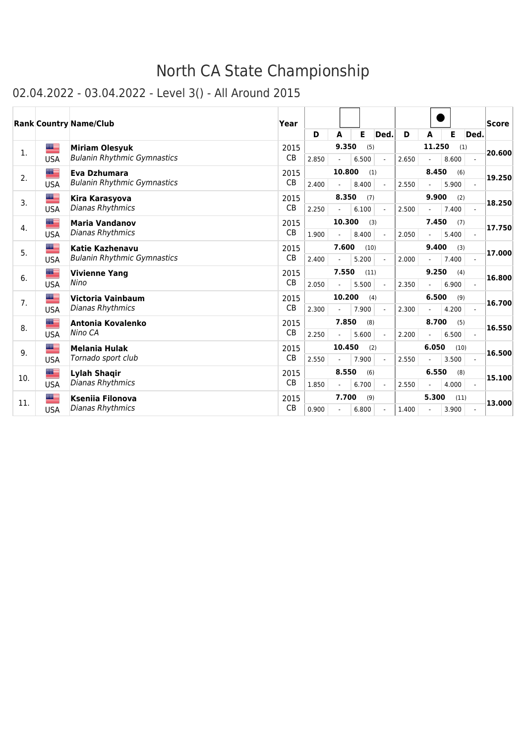|     |            | <b>Rank Country Name/Club</b>      | Year      |       |        |       |                |       |                |       |      | <b>Score</b> |
|-----|------------|------------------------------------|-----------|-------|--------|-------|----------------|-------|----------------|-------|------|--------------|
|     |            |                                    |           | D     | A      | Е     | Ded.           | D     | A              | Е     | Ded. |              |
| 1.  | █▆         | <b>Miriam Olesyuk</b>              | 2015      |       | 9.350  |       | (5)            |       | 11.250         | (1)   |      | 20.600       |
|     | <b>USA</b> | <b>Bulanin Rhythmic Gymnastics</b> | <b>CB</b> | 2.850 |        | 6.500 | $\overline{a}$ | 2.650 |                | 8.600 |      |              |
| 2.  | ▆▆         | Eva Dzhumara                       | 2015      |       | 10.800 |       | (1)            |       | 8.450          | (6)   |      | 19,250       |
|     | <b>USA</b> | <b>Bulanin Rhythmic Gymnastics</b> | <b>CB</b> | 2.400 |        | 8.400 |                | 2.550 |                | 5.900 |      |              |
| 3.  | ▀          | Kira Karasyova                     | 2015      |       | 8.350  |       | (7)            |       | 9.900          | (2)   |      | 18.250       |
|     | <b>USA</b> | Dianas Rhythmics                   | <b>CB</b> | 2.250 |        | 6.100 |                | 2.500 |                | 7.400 |      |              |
| 4.  | ▆          | <b>Maria Vandanov</b>              | 2015      |       | 10.300 |       | (3)            |       | 7.450          | (7)   |      | 17.750       |
|     | <b>USA</b> | Dianas Rhythmics                   | <b>CB</b> | 1.900 |        | 8.400 |                | 2.050 |                | 5.400 |      |              |
| 5.  | ██         | <b>Katie Kazhenavu</b>             | 2015      |       | 7.600  |       | (10)           |       | 9.400          | (3)   |      | 17.000       |
|     | <b>USA</b> | <b>Bulanin Rhythmic Gymnastics</b> | CB        | 2.400 |        | 5.200 |                | 2.000 |                | 7.400 |      |              |
| 6.  | ≝          | <b>Vivienne Yang</b>               | 2015      |       | 7.550  |       | (11)           |       | 9.250          | (4)   |      | 16.800       |
|     | <b>USA</b> | Nino                               | CB        | 2.050 |        | 5.500 |                | 2.350 |                | 6.900 |      |              |
| 7.  | █▆         | Victoria Vainbaum                  | 2015      |       | 10.200 |       | (4)            |       | 6.500          | (9)   |      | 16.700       |
|     | <b>USA</b> | <b>Dianas Rhythmics</b>            | CB        | 2.300 |        | 7.900 |                | 2.300 |                | 4.200 |      |              |
| 8.  | ≝          | Antonia Kovalenko                  | 2015      |       | 7.850  |       | (8)            |       | 8.700          | (5)   |      | 16.550       |
|     | <b>USA</b> | Nino CA                            | <b>CB</b> | 2.250 |        | 5.600 |                | 2.200 |                | 6.500 |      |              |
| 9.  | ▆▆         | <b>Melania Hulak</b>               | 2015      |       | 10.450 |       | (2)            |       | 6.050          | (10)  |      | 16.500       |
|     | <b>USA</b> | Tornado sport club                 | <b>CB</b> | 2.550 |        | 7.900 |                | 2.550 |                | 3.500 |      |              |
| 10. | ▇≡         | Lylah Shaqir                       | 2015      |       | 8.550  |       | (6)            |       | 6.550          | (8)   |      | 15.100       |
|     | <b>USA</b> | Dianas Rhythmics                   | <b>CB</b> | 1.850 |        | 6.700 |                | 2.550 |                | 4.000 |      |              |
| 11. | █▆         | <b>Ksenija Filonova</b>            | 2015      |       | 7.700  |       | (9)            |       | 5.300          | (11)  |      | 13.000       |
|     | <b>USA</b> | Dianas Rhythmics                   | CB        | 0.900 |        | 6.800 |                | 1.400 | $\overline{a}$ | 3.900 |      |              |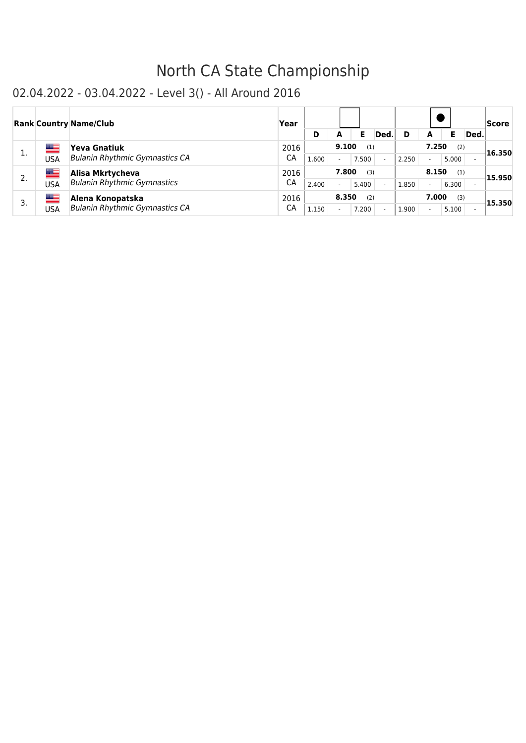|    |     | <b>Rank Country Name/Club</b>         | Year |       |       |       |      |       |                          |       |      | Score  |
|----|-----|---------------------------------------|------|-------|-------|-------|------|-------|--------------------------|-------|------|--------|
|    |     |                                       |      | D     |       | Е     | Ded. | D     | A                        | Е     | Ded. |        |
| 1. | ▀   | <b>Yeva Gnatiuk</b>                   | 2016 |       | 9.100 | (1)   |      |       | 7.250                    | (2)   |      | 16.350 |
|    | USA | <b>Bulanin Rhythmic Gymnastics CA</b> | СA   | 1.600 |       | 7.500 |      | 2.250 | $\overline{\phantom{a}}$ | 5.000 |      |        |
| 2. | ▀   | Alisa Mkrtycheva                      | 2016 |       | 7.800 | (3)   |      |       | 8.150                    | (1)   |      | 15.950 |
|    | USA | <b>Bulanin Rhythmic Gymnastics</b>    | СA   | 2.400 |       | 5.400 |      | 1.850 | $\overline{\phantom{a}}$ | 6.300 |      |        |
| 3. | ▀   | Alena Konopatska                      | 2016 |       | 8.350 | (2)   |      |       | 7.000                    | (3)   |      | 15.350 |
|    | USA | <b>Bulanin Rhythmic Gymnastics CA</b> | СA   | 1.150 |       | 7.200 |      | 1.900 | $\overline{\phantom{a}}$ | 5.100 |      |        |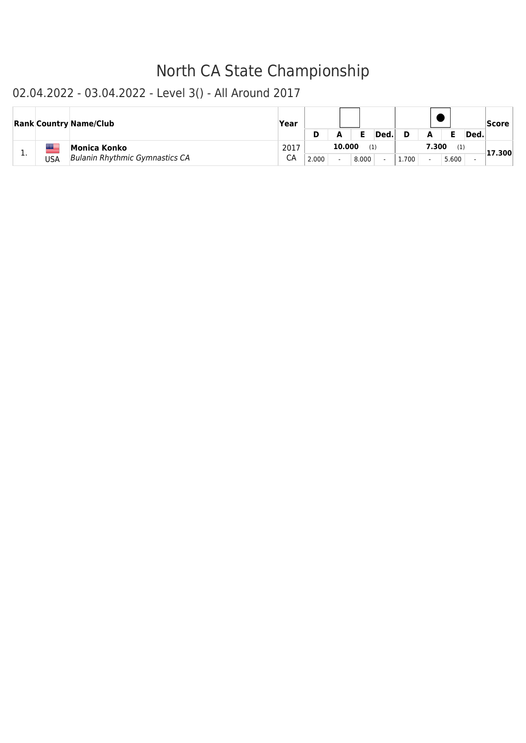|     |     | <b>Rank Country Name/Club</b>                         | Year       |       |        |       | Ded. |       | А                                 |              | Ded. | Score  |
|-----|-----|-------------------------------------------------------|------------|-------|--------|-------|------|-------|-----------------------------------|--------------|------|--------|
| . . | USA | Monica Konko<br><b>Bulanin Rhythmic Gymnastics CA</b> | 2017<br>СA | 2.000 | 10.000 | 8.000 | (1)  | 1.700 | 7.300<br>$\overline{\phantom{a}}$ | (1)<br>5.600 |      | 17.300 |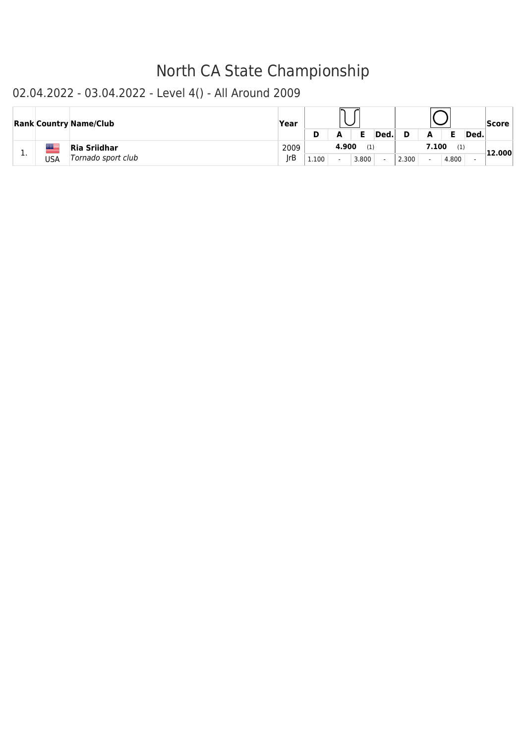|     |             | <b>Rank Country Name/Club</b> | Year |       |       |       |      |       |                          |       |      | <b>Score</b> |
|-----|-------------|-------------------------------|------|-------|-------|-------|------|-------|--------------------------|-------|------|--------------|
|     |             |                               |      |       |       | Е     | Ded. |       | A                        |       | Ded. |              |
|     | <b>Book</b> | Ria Sriidhar                  | 2009 |       | 4.900 | (1)   |      |       | 7.100                    | (1)   |      | 12.000       |
| . . | USA         | Tornado sport club            | rB   | 1.100 |       | 3.800 |      | 2.300 | $\overline{\phantom{0}}$ | 4.800 |      |              |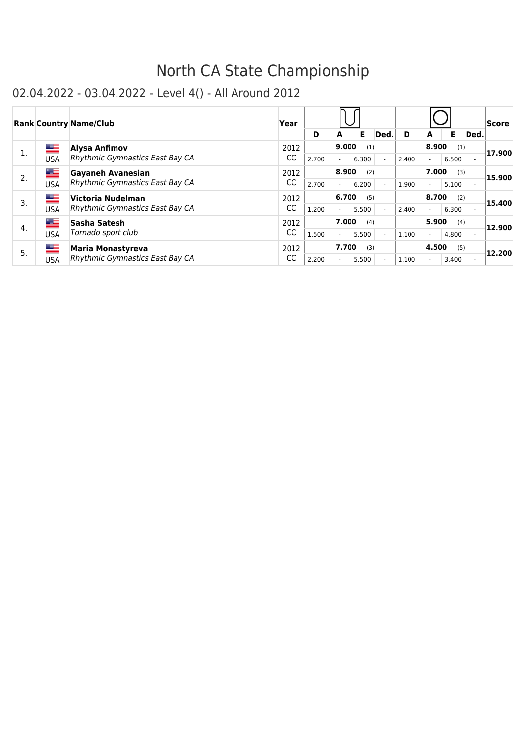|    |     | <b>Rank Country Name/Club</b>          | Year |       |                          |       |      |       |                          |       |                          | Score  |
|----|-----|----------------------------------------|------|-------|--------------------------|-------|------|-------|--------------------------|-------|--------------------------|--------|
|    |     |                                        |      | D     | А                        | Е     | Ded. | D     | A                        | Е     | Ded.                     |        |
| 1. | █▆  | Alysa Anfimov                          | 2012 |       | 9.000                    | (1)   |      |       | 8.900                    | (1)   |                          | 17.900 |
|    | USA | <b>Rhythmic Gymnastics East Bay CA</b> | CC   | 2.700 | $\overline{\phantom{0}}$ | 6.300 |      | 2.400 | $\blacksquare$           | 6.500 | $\overline{\phantom{a}}$ |        |
| 2. | █▆  | Gayaneh Avanesian                      | 2012 |       | 8.900                    | (2)   |      |       | 7.000                    | (3)   |                          | 15.900 |
|    | USA | Rhythmic Gymnastics East Bay CA        | CC   | 2.700 | $\overline{\phantom{0}}$ | 6.200 |      | 1.900 | $\overline{\phantom{a}}$ | 5.100 | $\overline{\phantom{a}}$ |        |
| 3. | █▆  | Victoria Nudelman                      | 2012 |       | 6.700                    | (5)   |      |       | 8.700                    | (2)   |                          | 15.400 |
|    | USA | Rhythmic Gymnastics East Bay CA        | CC   | 1.200 |                          | 5.500 |      | 2.400 | $\blacksquare$           | 6.300 | $\overline{\phantom{0}}$ |        |
| 4. | ▆▆  | Sasha Satesh                           | 2012 |       | 7.000                    | (4)   |      |       | 5.900                    | (4)   |                          | 12.900 |
|    | USA | Tornado sport club                     | CC   | 1.500 | $\overline{\phantom{0}}$ | 5.500 |      | 1.100 | $\blacksquare$           | 4.800 | $\overline{a}$           |        |
| 5. | █≡  | <b>Maria Monastyreva</b>               | 2012 |       | 7.700                    | (3)   |      |       | 4.500                    | (5)   |                          | 12.200 |
|    | USA | <b>Rhythmic Gymnastics East Bay CA</b> | CC   | 2.200 |                          | 5.500 |      | 1.100 | $\overline{\phantom{a}}$ | 3.400 | $\overline{\phantom{a}}$ |        |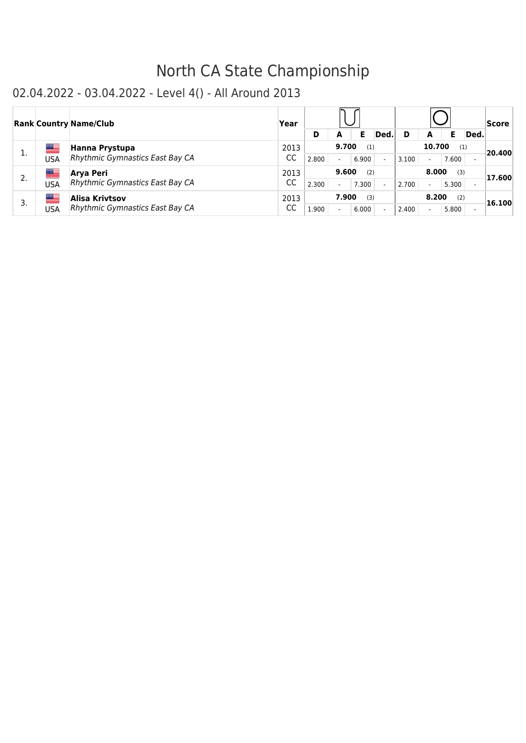|    |            | <b>Rank Country Name/Club</b>   | Year |       |                          |       |      |       |                          |       |      | Score  |
|----|------------|---------------------------------|------|-------|--------------------------|-------|------|-------|--------------------------|-------|------|--------|
|    |            |                                 |      | D     | A                        | Ε     | Ded. |       | A                        |       | Ded. |        |
| 1. | ▀          | Hanna Prystupa                  | 2013 |       | 9.700                    | (1)   |      |       | 10.700                   | (1)   |      | 20.400 |
|    | USA        | Rhythmic Gymnastics East Bay CA | CC   | 2.800 | $\overline{\phantom{0}}$ | 6.900 |      | 3.100 | $\overline{a}$           | 7.600 |      |        |
| 2. | <u>aas</u> | Arva Peri                       | 2013 |       | 9.600                    | (2)   |      |       | 8.000                    | (3)   |      | 17.600 |
|    | USA        | Rhythmic Gymnastics East Bay CA | CC   | 2.300 |                          | 7.300 |      | 2.700 | $\overline{\phantom{a}}$ | 5.300 |      |        |
| 3. |            | Alisa Krivtsov                  | 2013 |       | 7.900                    | (3)   |      |       | 8.200                    | (2)   |      | 16.100 |
|    | USA        | Rhythmic Gymnastics East Bay CA | CC   | 1.900 |                          | 6.000 |      | 2.400 | $\overline{\phantom{a}}$ | 5.800 |      |        |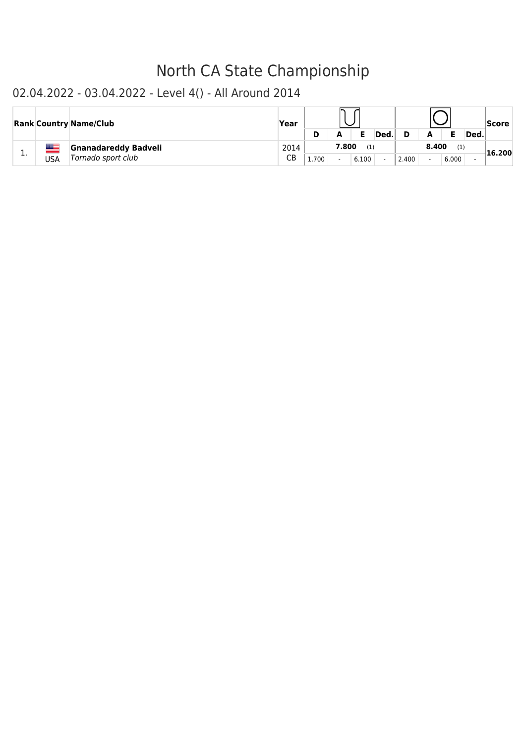|   |     | <b>Rank Country Name/Club</b>                     | Year       |       |       |              | Ded. |       | А                                 |              | Ded. | <b>Score</b> |
|---|-----|---------------------------------------------------|------------|-------|-------|--------------|------|-------|-----------------------------------|--------------|------|--------------|
| . | USA | <b>Gnanadareddy Badveli</b><br>Tornado sport club | 2014<br>СB | 1.700 | 7.800 | (1)<br>6.100 |      | 2.400 | 8.400<br>$\overline{\phantom{0}}$ | (1)<br>6.000 |      | 16.200       |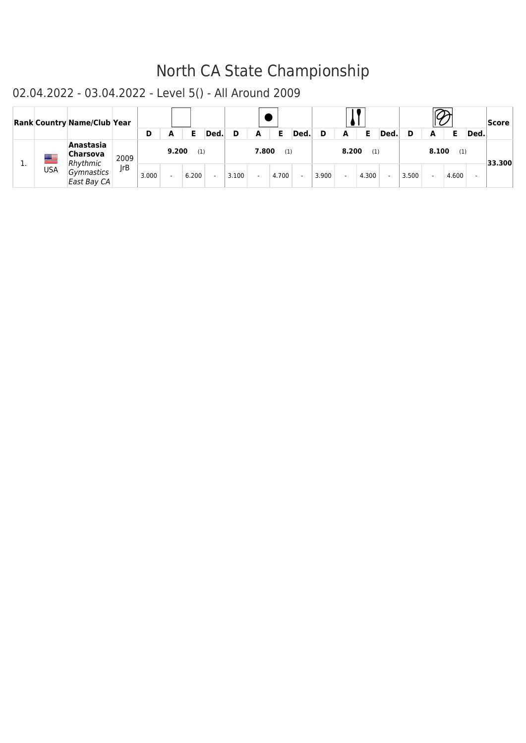|    |            | <b>Rank Country Name/Club Year</b> |      |       |       |       |        |       |       |       |        |       |       |       |        |       |       |       |      | Score  |
|----|------------|------------------------------------|------|-------|-------|-------|--------|-------|-------|-------|--------|-------|-------|-------|--------|-------|-------|-------|------|--------|
|    |            |                                    |      | D     |       | Е     | Ded.   | D     | A     | Е     | Ded.   | D     | A     |       | Ded    |       | A     |       | Ded. |        |
| π. | ▀          | Anastasia<br>Charsova<br>Rhythmic  | 2009 |       | 9.200 | (1)   |        |       | 7.800 | (1)   |        |       | 8.200 | (1)   |        |       | 8.100 | (1)   |      | 33.300 |
|    | <b>USA</b> | Gymnastics<br>East Bay CA          | IrB  | 3.000 |       | 6.200 | $\sim$ | 3.100 |       | 4.700 | $\sim$ | 3.900 |       | 4.300 | $\sim$ | 3.500 |       | 4.600 |      |        |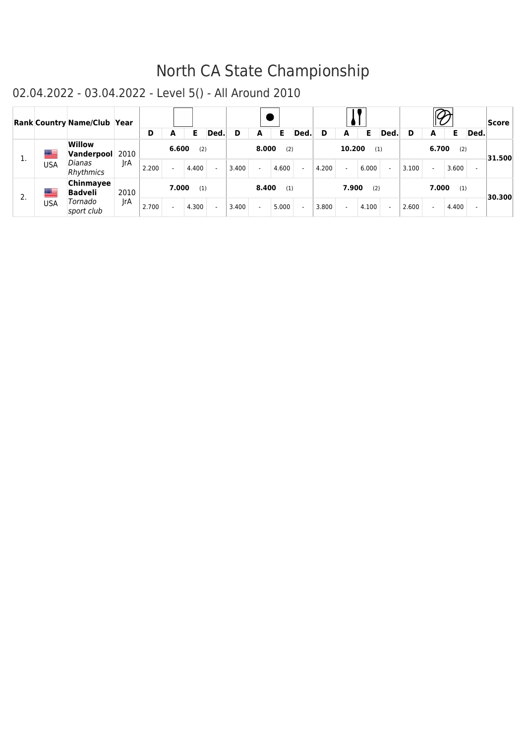|    |     | Rank Country Name/Club Year      |      |       |        |       |      |       |        |       |                          |       |                          |       |        |       |       |       |                          | Score  |
|----|-----|----------------------------------|------|-------|--------|-------|------|-------|--------|-------|--------------------------|-------|--------------------------|-------|--------|-------|-------|-------|--------------------------|--------|
|    |     |                                  |      | D     | А      | Е     | Ded. |       | А      | Е     | Ded.                     | D     | A                        | Е     | Ded.   | D     | A     | Е     | Ded.                     |        |
| 1. | ▀   | <b>Willow</b><br>Vanderpool 2010 |      |       | 6.600  | (2)   |      |       | 8.000  | (2)   |                          |       | 10.200                   | (1)   |        |       | 6.700 | (2)   |                          | 31.500 |
|    | USA | Dianas<br>Rhythmics              | IrA  | 2.200 | ÷.     | 4.400 |      | 3.400 | $\sim$ | 4.600 | $\overline{\phantom{a}}$ | 4.200 | $\sim$                   | 6.000 | $\sim$ | 3.100 |       | 3.600 | $\overline{\phantom{0}}$ |        |
| 2. | ▀   | Chinmayee<br><b>Badveli</b>      | 2010 |       | 7.000  | (1)   |      |       | 8.400  | (1)   |                          |       | 7.900                    | (2)   |        |       | 7.000 | (1)   |                          | 30.300 |
|    | USA | Tornado<br>sport club            | IrA  | 2.700 | $\sim$ | 4.300 |      | 3.400 | $\sim$ | 5.000 |                          | 3.800 | $\overline{\phantom{0}}$ | 4.100 | $\sim$ | 2.600 |       | 4.400 | $\overline{\phantom{0}}$ |        |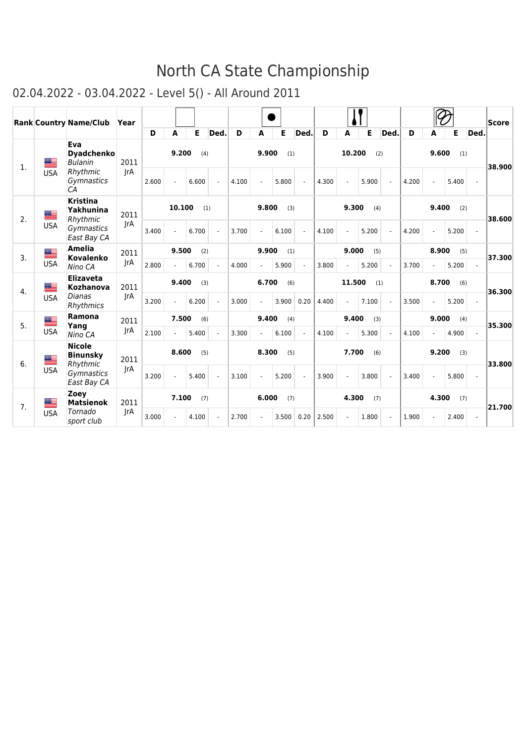|                |            | <b>Rank Country Name/Club</b>                | Year |       |              |       |      |       |                |       |      |       |                |       |     |       |       |       |                | Score  |
|----------------|------------|----------------------------------------------|------|-------|--------------|-------|------|-------|----------------|-------|------|-------|----------------|-------|-----|-------|-------|-------|----------------|--------|
|                |            |                                              |      | D     | A            | E     | Ded. | D     | A              | Е     | Ded. | D     | A              | E     | Ded | D     | A     | Е     | Ded.           |        |
| $\mathbf{1}$ . | ▀          | Eva<br><b>Dyadchenko</b><br><b>Bulanin</b>   | 2011 |       | 9.200        | (4)   |      |       | 9.900          | (1)   |      |       | 10.200         |       | (2) |       | 9.600 | (1)   |                | 38.900 |
|                | <b>USA</b> | Rhythmic<br>Gymnastics<br>C <sub>A</sub>     | JrA  | 2.600 | $\omega$     | 6.600 |      | 4.100 | ÷,             | 5.800 |      | 4.300 | $\overline{a}$ | 5.900 |     | 4.200 |       | 5.400 | $\overline{a}$ |        |
| 2.             | ▀          | <b>Kristina</b><br>Yakhunina<br>Rhythmic     | 2011 |       | 10.100       |       | (1)  |       | 9.800          | (3)   |      |       | 9.300          | (4)   |     |       | 9.400 | (2)   |                | 38.600 |
|                | <b>USA</b> | Gymnastics<br>East Bay CA                    | JrA  | 3.400 |              | 6.700 |      | 3.700 | $\overline{a}$ | 6.100 |      | 4.100 | $\overline{a}$ | 5.200 |     | 4.200 |       | 5.200 |                |        |
| 3.             | ▀          | <b>Amelia</b><br><b>Kovalenko</b>            | 2011 |       | 9.500        | (2)   |      |       | 9.900          | (1)   |      |       | 9.000          | (5)   |     |       | 8.900 | (5)   |                | 37.300 |
|                | <b>USA</b> | Nino CA                                      | JrA  | 2.800 | $\sim$       | 6.700 |      | 4.000 | $\overline{a}$ | 5.900 |      | 3.800 | $\overline{a}$ | 5.200 |     | 3.700 |       | 5.200 |                |        |
| 4.             | ▀          | <b>Elizaveta</b><br>Kozhanova                | 2011 |       | 9.400        | (3)   |      |       | 6.700          | (6)   |      |       | 11.500         |       | (1) |       | 8.700 | (6)   |                | 36.300 |
|                | <b>USA</b> | Dianas<br>Rhythmics                          | IrA  | 3.200 | $\mathbf{r}$ | 6.200 |      | 3.000 | $\blacksquare$ | 3.900 | 0.20 | 4.400 | $\blacksquare$ | 7.100 |     | 3.500 |       | 5.200 |                |        |
| 5.             | ▆          | Ramona<br>Yang                               | 2011 |       | 7.500        | (6)   |      |       | 9.400          | (4)   |      |       | 9.400          | (3)   |     |       | 9.000 | (4)   |                | 35.300 |
|                | <b>USA</b> | Nino CA                                      | IrA  | 2.100 | $\sim$       | 5.400 |      | 3.300 | $\overline{a}$ | 6.100 |      | 4.100 | $\overline{a}$ | 5.300 |     | 4.100 |       | 4.900 |                |        |
| 6.             | an B       | <b>Nicole</b><br><b>Binunsky</b><br>Rhythmic | 2011 |       | 8.600        | (5)   |      |       | 8.300          | (5)   |      |       | 7.700          | (6)   |     |       | 9.200 | (3)   |                | 33.800 |
|                | <b>USA</b> | Gymnastics<br>East Bay CA                    | IrA  | 3.200 | $\sim$       | 5.400 |      | 3.100 | $\blacksquare$ | 5.200 |      | 3.900 | ÷.             | 3.800 |     | 3.400 |       | 5.800 | $\omega$       |        |
| 7.             | an E       | Zoey<br><b>Matsienok</b>                     | 2011 |       | 7.100        | (7)   |      |       | 6.000          | (7)   |      |       | 4.300          | (7)   |     |       | 4.300 | (7)   |                | 21.700 |
|                | <b>USA</b> | Tornado<br>sport club                        | JrA  | 3.000 |              | 4.100 |      | 2.700 |                | 3.500 | 0.20 | 2.500 | ÷,             | 1.800 |     | 1.900 |       | 2.400 | $\blacksquare$ |        |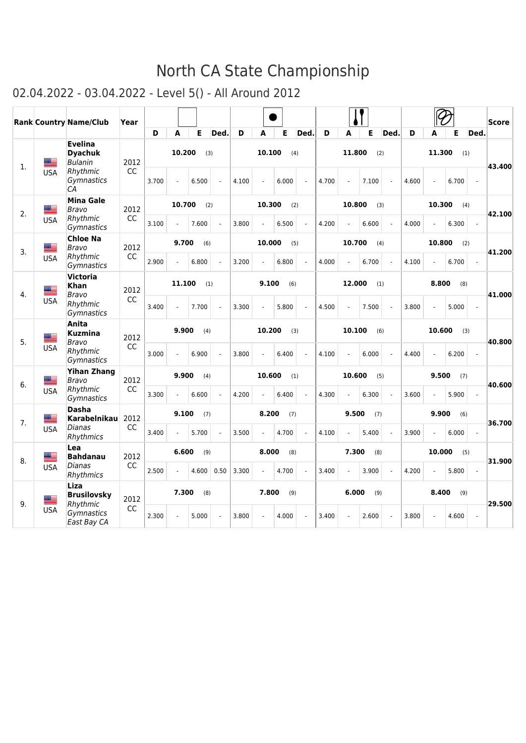|    |             | Rank Country Name/Club                             | Year      |       |        |       |                |       |        |       |            |       |        |       |            |       |                |       |                | <b>Score</b> |
|----|-------------|----------------------------------------------------|-----------|-------|--------|-------|----------------|-------|--------|-------|------------|-------|--------|-------|------------|-------|----------------|-------|----------------|--------------|
|    |             |                                                    |           | D     | A      | Е     | Ded.           | D     | A      | Е     | <b>Ded</b> | D     | A      | E     | <b>Ded</b> | D     | A              | Е     | Ded.           |              |
| 1. | ▀           | <b>Evelina</b><br><b>Dyachuk</b><br><b>Bulanin</b> | 2012      |       | 10.200 |       | (3)            |       | 10.100 |       | (4)        |       | 11.800 | (2)   |            |       | 11.300         |       | (1)            | 43.400       |
|    | <b>USA</b>  | Rhythmic<br>Gymnastics<br>СA                       | CC        | 3.700 |        | 6.500 |                | 4.100 | L.     | 6.000 |            | 4.700 |        | 7.100 |            | 4.600 | $\overline{a}$ | 6.700 |                |              |
| 2. | æ           | <b>Mina Gale</b><br>Bravo                          | 2012      |       | 10.700 |       | (2)            |       | 10.300 |       | (2)        |       | 10.800 | (3)   |            |       | 10.300         |       | (4)            | 42.100       |
|    | <b>USA</b>  | Rhythmic<br>Gymnastics                             | CC        | 3.100 |        | 7.600 |                | 3.800 |        | 6.500 |            | 4.200 |        | 6.600 |            | 4.000 |                | 6.300 |                |              |
| 3. | <u>an B</u> | <b>Chloe Na</b><br>Bravo                           | 2012      |       | 9.700  | (6)   |                |       | 10.000 |       | (5)        |       | 10.700 | (4)   |            |       | 10.800         |       | (2)            | 41.200       |
|    | <b>USA</b>  | Rhythmic<br>Gymnastics                             | CC        | 2.900 |        | 6.800 |                | 3.200 |        | 6.800 |            | 4.000 |        | 6.700 |            | 4.100 |                | 6.700 |                |              |
| 4. | aa B        | <b>Victoria</b><br>Khan<br>Bravo                   | 2012      |       | 11.100 |       | (1)            |       | 9.100  | (6)   |            |       | 12.000 | (1)   |            |       | 8.800          | (8)   |                | 41.000       |
|    | <b>USA</b>  | Rhythmic<br>Gymnastics                             | <b>CC</b> | 3.400 |        | 7.700 | $\overline{a}$ | 3.300 |        | 5.800 |            | 4.500 |        | 7.500 |            | 3.800 |                | 5.000 |                |              |
| 5. | ≝           | Anita<br><b>Kuzmina</b><br>Bravo                   | 2012      |       | 9.900  | (4)   |                |       | 10.200 |       | (3)        |       | 10.100 | (6)   |            |       | 10.600         |       | (3)            | 40.800       |
|    | <b>USA</b>  | Rhythmic<br>Gymnastics                             | CC        | 3.000 |        | 6.900 | $\overline{a}$ | 3.800 |        | 6.400 |            | 4.100 |        | 6.000 | ÷.         | 4.400 |                | 6.200 | ÷.             |              |
|    | ▀           | <b>Yihan Zhang</b><br>Bravo                        | 2012      |       | 9.900  | (4)   |                |       | 10.600 |       | (1)        |       | 10.600 | (5)   |            |       | 9.500          | (7)   |                |              |
| 6. | <b>USA</b>  | Rhythmic<br>Gymnastics                             | CC        | 3.300 |        | 6.600 |                | 4.200 |        | 6.400 |            | 4.300 |        | 6.300 |            | 3.600 |                | 5.900 |                | 40.600       |
| 7. | ██          | <b>Dasha</b><br>Karabelnikau                       | 2012      |       | 9.100  | (7)   |                |       | 8.200  | (7)   |            |       | 9.500  | (7)   |            |       | 9.900          | (6)   |                | 36.700       |
|    | <b>USA</b>  | Dianas<br>Rhythmics                                | CC        | 3.400 |        | 5.700 |                | 3.500 |        | 4.700 |            | 4.100 |        | 5.400 |            | 3.900 |                | 6.000 |                |              |
| 8. | ≝           | Lea<br><b>Bahdanau</b>                             | 2012      |       | 6.600  | (9)   |                |       | 8.000  | (8)   |            |       | 7.300  | (8)   |            |       | 10.000         |       | (5)            | 31.900       |
|    | <b>USA</b>  | Dianas<br>Rhythmics                                | CC        | 2.500 |        | 4.600 | 0.50           | 3.300 |        | 4.700 |            | 3.400 |        | 3.900 |            | 4.200 |                | 5.800 | $\overline{a}$ |              |
| 9. | ≝           | Liza<br><b>Brusilovsky</b><br>Rhythmic             | 2012      |       | 7.300  | (8)   |                |       | 7.800  | (9)   |            |       | 6.000  | (9)   |            |       | 8.400          | (9)   |                | 29.500       |
|    | <b>USA</b>  | Gymnastics<br>East Bay CA                          | CC        | 2.300 |        | 5.000 |                | 3.800 | ÷.     | 4.000 |            | 3.400 |        | 2.600 |            | 3.800 |                | 4.600 | $\overline{a}$ |              |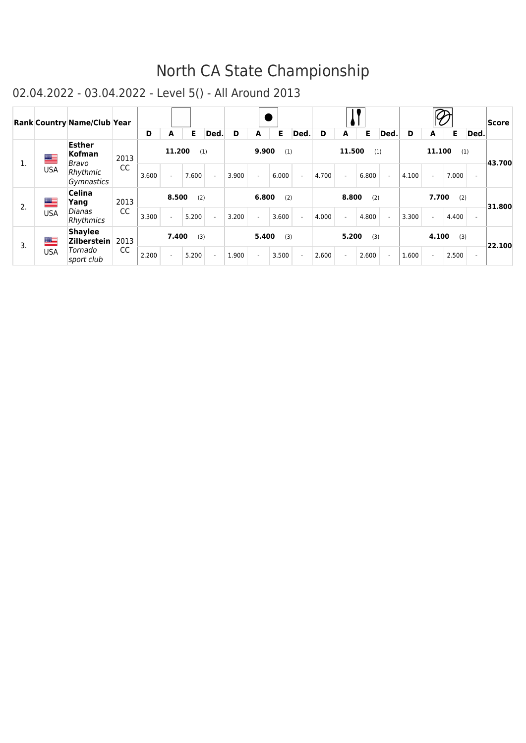|    |             | <b>Rank Country Name/Club Year</b>      |           | D     | A      | Е     | Ded.                     | D     | A     | Е     | Ded.                     | D     | A      | Е     | Ded.                     | D     |        | Е     | Ded.                     | Score  |
|----|-------------|-----------------------------------------|-----------|-------|--------|-------|--------------------------|-------|-------|-------|--------------------------|-------|--------|-------|--------------------------|-------|--------|-------|--------------------------|--------|
| 1. | <u>an a</u> | <b>Esther</b><br><b>Kofman</b><br>Bravo | 2013      |       | 11.200 | (1)   |                          |       | 9.900 | (1)   |                          |       | 11.500 | (1)   |                          |       | 11.100 | (1)   |                          | 43.700 |
|    | <b>USA</b>  | Rhythmic<br>Gymnastics                  | CC        | 3.600 |        | 7.600 | $\sim$                   | 3.900 |       | 6.000 | $\sim$                   | 4.700 |        | 6.800 | $\sim$                   | 4.100 |        | 7.000 | $\overline{\phantom{a}}$ |        |
| 2. | ▆▆          | <b>Celina</b><br>Yang                   | 2013      |       | 8.500  | (2)   |                          |       | 6.800 | (2)   |                          |       | 8,800  | (2)   |                          |       | 7.700  | (2)   |                          | 31.800 |
|    | <b>USA</b>  | Dianas<br>Rhythmics                     | cc        | 3.300 |        | 5.200 | $\sim$                   | 3.200 |       | 3.600 | $\sim$                   | 4.000 |        | 4.800 | $\blacksquare$           | 3.300 | $\sim$ | 4.400 | $\blacksquare$           |        |
| 3. | ██          | <b>Shaylee</b><br><b>Zilberstein</b>    | 2013      |       | 7.400  | (3)   |                          |       | 5.400 | (3)   |                          |       | 5.200  | (3)   |                          |       | 4.100  | (3)   |                          | 22.100 |
|    | <b>USA</b>  | Tornado<br>sport club                   | <b>CC</b> | 2.200 |        | 5.200 | $\overline{\phantom{a}}$ | 1.900 |       | 3.500 | $\overline{\phantom{a}}$ | 2.600 |        | 2.600 | $\overline{\phantom{a}}$ | 1.600 | ÷.     | 2.500 | $\overline{\phantom{a}}$ |        |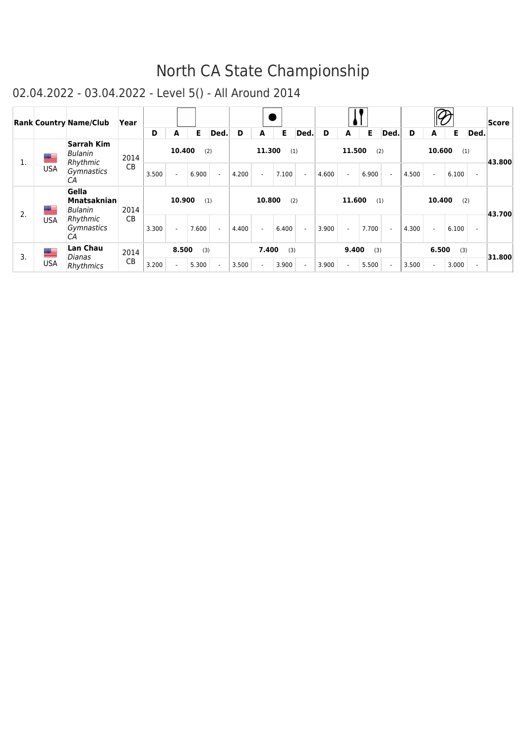|    |            | <b>Rank Country Name/Club</b>                 | Year      | D     | A      | Е.    | Ded.   | D     | A        | Е     | Ded. | D     | A              | Е     | Ded.           | D     | А              | Е     | Ded. | Score  |
|----|------------|-----------------------------------------------|-----------|-------|--------|-------|--------|-------|----------|-------|------|-------|----------------|-------|----------------|-------|----------------|-------|------|--------|
| 1. | ▆▆         | <b>Sarrah Kim</b><br>Bulanin<br>Rhythmic      | 2014      |       | 10.400 | (2)   |        |       | 11.300   | (1)   |      |       | 11.500         |       | (2)            |       | 10.600         | (1)   |      | 43.800 |
|    | <b>USA</b> | Gymnastics<br>СA                              | <b>CB</b> | 3.500 |        | 6.900 |        | 4.200 | $\sim$   | 7.100 |      | 4.600 | $\blacksquare$ | 6.900 |                | 4.500 | $\blacksquare$ | 6.100 |      |        |
| 2. | ▇          | Gella<br><b>Mnatsaknian</b><br><b>Bulanin</b> | 2014      |       | 10.900 | (1)   |        |       | 10.800   | (2)   |      |       | 11.600         | (1)   |                |       | 10.400         | (2)   |      | 43.700 |
|    | <b>USA</b> | Rhythmic<br>Gymnastics<br>СA                  | <b>CB</b> | 3.300 | ÷.     | 7.600 | $\sim$ | 4.400 | $\omega$ | 6.400 | ÷.   | 3.900 | $\omega$       | 7.700 | $\overline{a}$ | 4.300 | $\sim$         | 6.100 |      |        |
|    | ▆          | <b>Lan Chau</b>                               | 2014      |       | 8.500  | (3)   |        |       | 7.400    | (3)   |      |       | 9.400          | (3)   |                |       | 6.500          | (3)   |      |        |
| 3. | <b>USA</b> | Dianas<br><b>Rhythmics</b>                    | CB        | 3.200 |        | 5.300 |        | 3.500 | $\sim$   | 3.900 |      | 3.900 | $\sim$         | 5.500 |                | 3.500 |                | 3.000 | ٠    | 31.800 |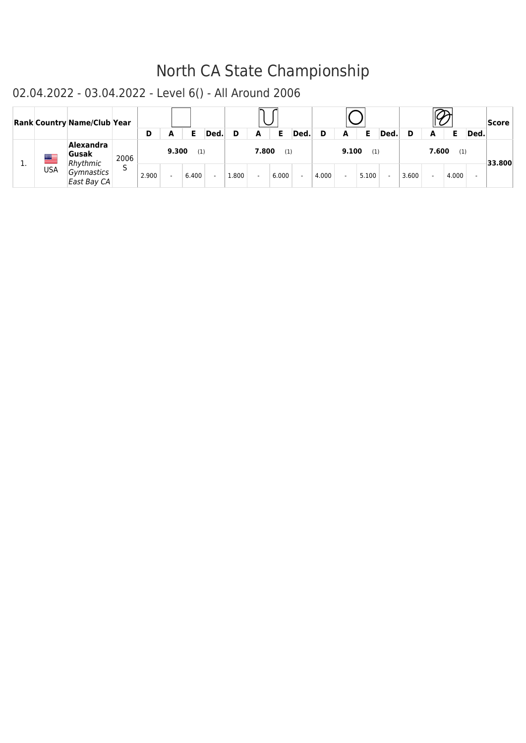|           |            | <b>Rank Country Name/Club Year</b> |      | D     |       |       | Ded.   |       | A     | Ε     | Ded.   | D     | A     |       | Ded    |       | A     |       | Ded. | <b>Score</b> |
|-----------|------------|------------------------------------|------|-------|-------|-------|--------|-------|-------|-------|--------|-------|-------|-------|--------|-------|-------|-------|------|--------------|
|           | ▀          | Alexandra<br>Gusak<br>Rhythmic     | 2006 |       | 9.300 | (1)   |        |       | 7.800 | (1)   |        |       | 9.100 | (1)   |        |       | 7.600 | (1)   |      | 33.800       |
| <b>1.</b> | <b>USA</b> | Gymnastics<br>East Bay CA          |      | 2.900 |       | 6.400 | $\sim$ | 1.800 |       | 6.000 | $\sim$ | 4.000 |       | 5.100 | $\sim$ | 3.600 |       | 4.000 |      |              |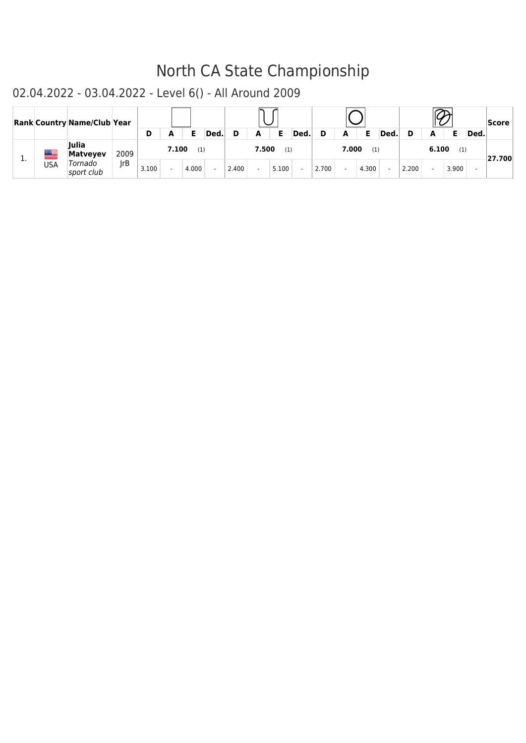|          |            | <b>Rank Country Name/Club Year</b> |      |       |       |       |        |       |       |       |        |       |       |       |      |       |       |       |      | Score   |
|----------|------------|------------------------------------|------|-------|-------|-------|--------|-------|-------|-------|--------|-------|-------|-------|------|-------|-------|-------|------|---------|
|          |            |                                    |      | D     | A     | Е     | Ded.   |       | A     | Е     | Ded.   | D     | A     | Е     | Ded. |       |       |       | Ded. |         |
|          | æ          | <b>Julia</b><br><b>Matveyev</b>    | 2009 |       | 7.100 | (1)   |        |       | 7.500 | (1)   |        |       | 7.000 | (1)   |      |       | 6.100 | (1)   |      | 127.700 |
| <b>.</b> | <b>USA</b> | Tornado<br>sport club              | rB   | 3.100 |       | 4.000 | $\sim$ | 2.400 |       | 5.100 | $\sim$ | 2.700 |       | 4.300 |      | 2.200 |       | 3.900 |      |         |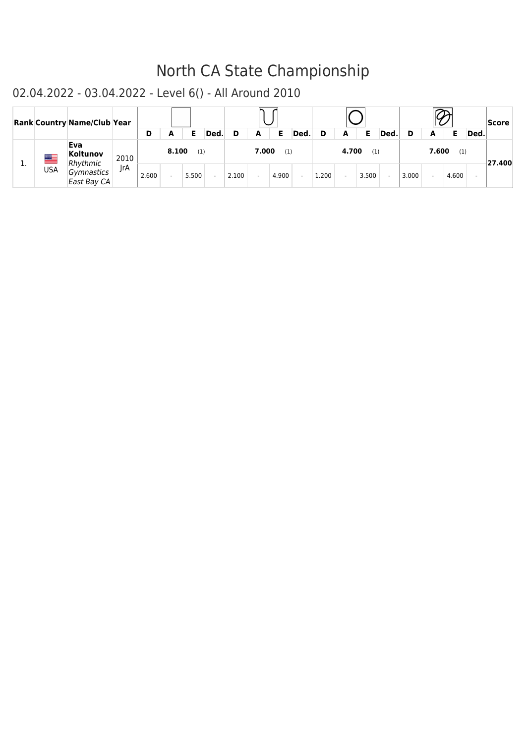|    |            | <b>Rank Country Name/Club Year</b> |      |       |       |       |        |       |       |       |        |       |       |       |        |       |       |       |      | Score   |
|----|------------|------------------------------------|------|-------|-------|-------|--------|-------|-------|-------|--------|-------|-------|-------|--------|-------|-------|-------|------|---------|
|    |            |                                    |      | D     | A     | Е     | Ded.   | D     | A     | Е     | Ded.   | D     | A     |       | Ded    |       | A     |       | Ded. |         |
| τ. | ▆▆         | Eva<br>Koltunov<br>Rhythmic        | 2010 |       | 8.100 | (1)   |        |       | 7.000 | (1)   |        |       | 4.700 | (1)   |        |       | 7.600 | (1)   |      | ∤27.400 |
|    | <b>USA</b> | Gymnastics<br>East Bay CA          | IrA  | 2.600 |       | 5.500 | $\sim$ | 2.100 |       | 4.900 | $\sim$ | 1.200 |       | 3.500 | $\sim$ | 3.000 |       | 4.600 |      |         |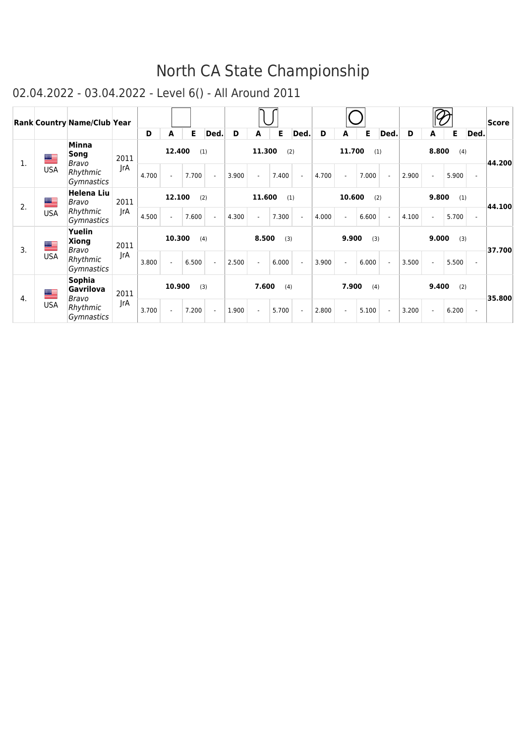|         |                                 | <b>Rank Country Name/Club Year</b>     |      |        |        |       |                |       |        |       |                |       |        |       |                |       |        |       |                          | Score  |
|---------|---------------------------------|----------------------------------------|------|--------|--------|-------|----------------|-------|--------|-------|----------------|-------|--------|-------|----------------|-------|--------|-------|--------------------------|--------|
|         |                                 |                                        |      | D      | A      | Е     | Ded.           | D     | A      | Е     | Ded.           | D     | А      | E.    | Ded.           | D     | A      | Е     | Ded.                     |        |
| 1.      | ▀                               | Minna<br>Song<br>Bravo                 | 2011 |        | 12.400 |       | (1)            |       | 11.300 | (2)   |                |       | 11.700 | (1)   |                |       | 8.800  | (4)   |                          | 44.200 |
|         | <b>USA</b>                      | Rhythmic<br>Gymnastics                 | JrA  | 4.700  |        | 7.700 | $\blacksquare$ | 3.900 |        | 7.400 | $\mathbf{r}$   | 4.700 |        | 7.000 | $\blacksquare$ | 2.900 |        | 5.900 | $\sim$                   |        |
|         | ▇                               | <b>Helena Liu</b><br>Bravo             | 2011 |        | 12.100 |       | (2)            |       | 11.600 | (1)   |                |       | 10.600 | (2)   |                |       | 9.800  | (1)   |                          |        |
| 2.      | <b>USA</b>                      | Rhythmic<br><b>Gymnastics</b>          | IrA  | 4.500  |        | 7.600 | $\blacksquare$ | 4.300 |        | 7.300 | $\blacksquare$ | 4.000 |        | 6.600 | $\blacksquare$ | 4.100 | $\sim$ | 5.700 | $\blacksquare$           | 44.100 |
| ▀<br>3. | Yuelin<br><b>Xiong</b><br>Bravo | 2011                                   |      | 10.300 |        | (4)   |                | 8.500 | (3)    |       |                | 9.900 | (3)    |       |                | 9.000 | (3)    |       | 37.700                   |        |
|         | <b>USA</b>                      | Rhythmic<br>Gymnastics                 | JrA  | 3.800  |        | 6.500 | $\mathcal{L}$  | 2.500 |        | 6.000 | $\blacksquare$ | 3.900 |        | 6.000 | $\mathcal{L}$  | 3.500 |        | 5.500 | $\overline{a}$           |        |
| 4.      | ▀                               | <b>Sophia</b><br><b>Gavrilova</b>      | 2011 |        | 10.900 |       | (3)            |       | 7.600  | (4)   |                |       | 7.900  | (4)   |                |       | 9.400  | (2)   |                          | 35.800 |
|         | <b>USA</b>                      | Bravo<br>Rhythmic<br><b>Gymnastics</b> | JrA  | 3.700  |        | 7.200 | $\sim$         | 1.900 |        | 5.700 | $\sim$         | 2.800 |        | 5.100 | $\blacksquare$ | 3.200 |        | 6.200 | $\overline{\phantom{a}}$ |        |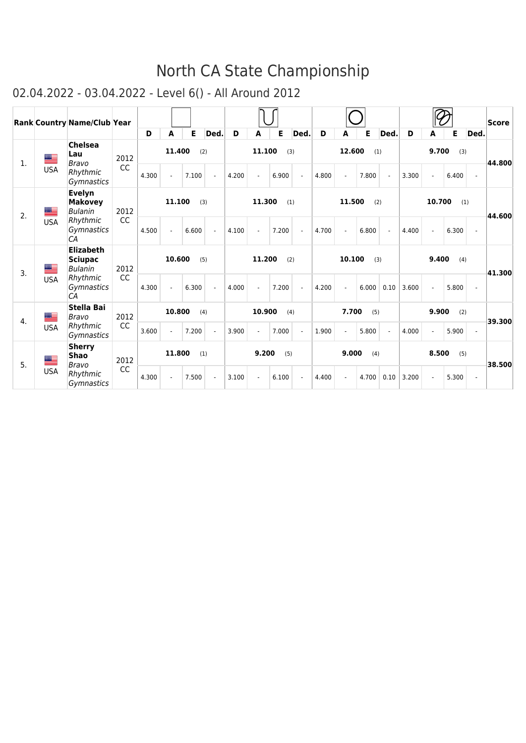|                |                           | <b>Rank Country Name/Club Year</b>                   |      |               |               |       |                |        |        |       |                |       |        |       |                |       |        |       |                | $ {\sf Score} $ |
|----------------|---------------------------|------------------------------------------------------|------|---------------|---------------|-------|----------------|--------|--------|-------|----------------|-------|--------|-------|----------------|-------|--------|-------|----------------|-----------------|
|                |                           |                                                      |      | D             | A             | E     | Ded.           | D      | A      | Е     | Ded.           | D     | A      | Е     | Ded.           | D     | A      | Е     | Ded.           |                 |
| $\mathbf{1}$ . | <u>est</u>                | <b>Chelsea</b><br>Lau<br>Bravo                       | 2012 |               | 11.400        |       | (2)            |        | 11.100 | (3)   |                |       | 12.600 | (1)   |                |       | 9.700  | (3)   |                | 44.800          |
|                | <b>USA</b>                | Rhythmic<br><b>Gymnastics</b>                        | CC   | 4.300         |               | 7.100 | $\mathbf{r}$   | 4.200  |        | 6.900 | $\overline{a}$ | 4.800 |        | 7.800 | $\overline{a}$ | 3.300 |        | 6.400 | $\overline{a}$ |                 |
| 2.             | <u> Military na manda</u> | Evelyn<br><b>Makovey</b><br><b>Bulanin</b>           | 2012 |               | 11.100        |       | (3)            |        | 11.300 | (1)   |                |       | 11.500 | (2)   |                |       | 10.700 |       | (1)            | 44.600          |
|                | <b>USA</b>                | Rhythmic<br><i>Gymnastics</i><br>CA                  | CC   | 4.500         |               | 6.600 | $\mathbf{r}$   | 4.100  |        | 7.200 | $\mathbf{r}$   | 4.700 |        | 6.800 | $\sim$         | 4.400 |        | 6.300 | $\overline{a}$ |                 |
| 3.             | ▀                         | <b>Elizabeth</b><br><b>Sciupac</b><br><b>Bulanin</b> | 2012 |               | 10.600<br>(5) |       |                |        | 11.200 | (2)   |                |       | 10.100 |       | (3)            |       | 9.400  | (4)   |                | 41.300          |
|                | <b>USA</b>                | Rhythmic<br><b>Gymnastics</b><br>CA                  | CC   | 4.300         |               | 6.300 | $\overline{a}$ | 4.000  |        | 7.200 |                | 4.200 |        | 6.000 | 0.10           | 3.600 |        | 5.800 | $\overline{a}$ |                 |
| 4.             | ▀                         | <b>Stella Bai</b><br>Bravo                           | 2012 | 10.800<br>(4) |               |       |                | 10.900 | (4)    |       |                | 7.700 | (5)    |       |                | 9.900 | (2)    |       | 39.300         |                 |
|                | <b>USA</b>                | Rhythmic<br>Gymnastics                               | CC   | 3.600         |               | 7.200 | $\mathbf{r}$   | 3.900  |        | 7.000 | $\overline{a}$ | 1.900 |        | 5.800 | $\mathcal{L}$  | 4.000 |        | 5.900 |                |                 |
| 5.             | ▀                         | <b>Sherry</b><br><b>Shao</b><br>Bravo                | 2012 |               | 11.800<br>(1) |       |                |        | 9.200  | (5)   |                |       | 9.000  | (4)   |                |       | 8.500  | (5)   |                | 38.500          |
|                | <b>USA</b>                | Rhythmic<br>Gymnastics                               | CC   | 4.300         |               | 7.500 | ÷.             | 3.100  |        | 6.100 | $\overline{a}$ | 4.400 |        | 4.700 | 0.10           | 3.200 |        | 5.300 | $\mathcal{L}$  |                 |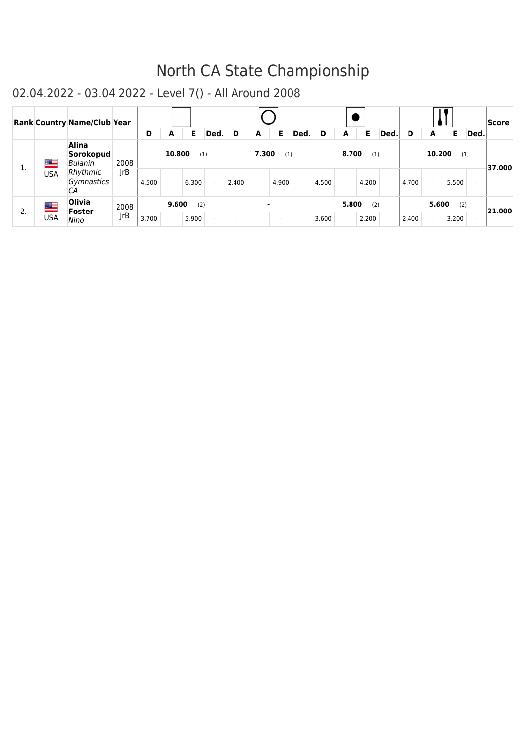|    |                          | <b>Rank Country Name/Club Year</b>                                   |             |       |        |              |        |                          |       |                          |        |       |       |              |        |       |                  |              |                          | Score  |
|----|--------------------------|----------------------------------------------------------------------|-------------|-------|--------|--------------|--------|--------------------------|-------|--------------------------|--------|-------|-------|--------------|--------|-------|------------------|--------------|--------------------------|--------|
|    |                          |                                                                      |             | D     | A      | E.           | Ded.   | D                        | A     | Е                        | Ded.   | D     | A     | Е            | Ded.   | D     | A                | Е            | Ded.                     |        |
| ı. | <u>est</u><br><b>USA</b> | <b>Alina</b><br>Sorokopud<br>Bulanin<br>Rhythmic<br>Gymnastics<br>СA | 2008<br> rB | 4.500 | 10.800 | (1)<br>6.300 | $\sim$ | 2.400                    | 7.300 | (1)<br>4.900             | $\sim$ | 4.500 | 8.700 | (1)<br>4.200 | $\sim$ | 4.700 | 10.200<br>$\sim$ | (1)<br>5.500 |                          | 37.000 |
| 2. | ▆▆                       | <b>Olivia</b><br><b>Foster</b>                                       | 2008        |       | 9.600  | (2)          |        |                          |       | ۰                        |        |       | 5.800 | (2)          |        |       | 5.600            | (2)          |                          | 21.000 |
|    | <b>USA</b>               | Nino                                                                 | JrB         | 3.700 |        | 5.900        | $\sim$ | $\overline{\phantom{a}}$ |       | $\overline{\phantom{a}}$ | $\sim$ | 3.600 |       | 2.200        | $\sim$ | 2.400 |                  | 3.200        | $\overline{\phantom{a}}$ |        |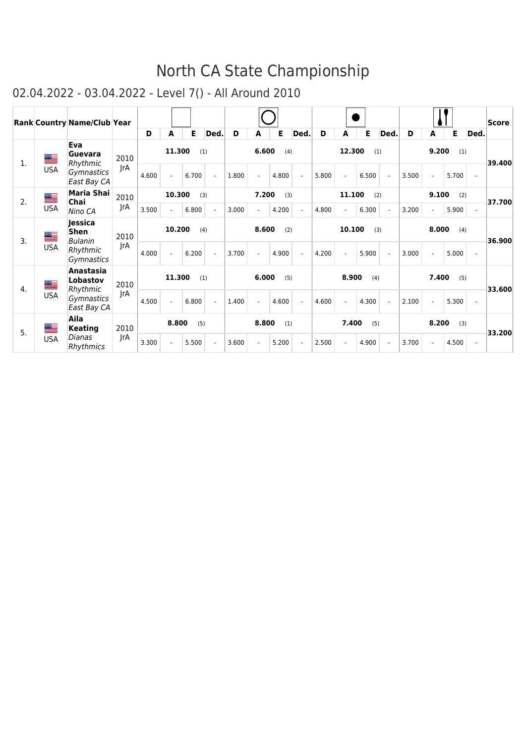|    |            | <b>Rank Country Name/Club Year</b> |      |       |                        |       |                          |       |       |       |                          |       |        |       |                |       |       |       |                          | $ {\sf Score} $ |
|----|------------|------------------------------------|------|-------|------------------------|-------|--------------------------|-------|-------|-------|--------------------------|-------|--------|-------|----------------|-------|-------|-------|--------------------------|-----------------|
|    |            |                                    |      | D     | A                      | Е     | Ded.                     | D     | A     | Е     | Ded.                     | D     | A      | Е     | Ded.           | D     | A     | Е.    | Ded.                     |                 |
| 1. | <u>a </u>  | Eva<br>Guevara<br>Rhythmic         | 2010 |       | 11.300                 |       | (1)                      |       | 6.600 | (4)   |                          |       | 12.300 |       | (1)            |       | 9.200 | (1)   |                          | 39.400          |
|    | <b>USA</b> | <b>Gymnastics</b><br>East Bay CA   | JrA  | 4.600 |                        | 6.700 | $\overline{\phantom{a}}$ | 1.800 |       | 4.800 | $\overline{\phantom{a}}$ | 5.800 |        | 6.500 | $\sim$         | 3.500 |       | 5.700 | $\sim$                   |                 |
| 2. | <u>a </u>  | Maria Shai<br>Chai                 | 2010 |       | 10.300                 |       | (3)                      |       | 7.200 | (3)   |                          |       | 11.100 |       | (2)            |       | 9.100 | (2)   |                          | 37.700          |
|    | <b>USA</b> | Nino CA                            | JrA  | 3.500 |                        |       | $\mathbf{v}$             | 3.000 |       | 4.200 | $\blacksquare$           | 4.800 |        | 6.300 | $\blacksquare$ | 3.200 |       | 5.900 | $\overline{\phantom{a}}$ |                 |
| 3. | <u>as</u>  | Jessica<br>Shen<br>Bulanin         | 2010 |       | 6.800<br>10.200<br>(4) |       |                          |       | 8.600 | (2)   |                          |       | 10.100 |       | (3)            |       | 8.000 | (4)   |                          | 36.900          |
|    | <b>USA</b> | Rhythmic<br>Gymnastics             | JrA  | 4.000 |                        | 6.200 | $\overline{\phantom{a}}$ | 3.700 |       | 4.900 | $\overline{\phantom{a}}$ | 4.200 |        | 5.900 | $\sim$         | 3.000 |       | 5.000 | ÷                        |                 |
| 4. | ▀          | Anastasia<br>Lobastov<br>Rhythmic  | 2010 |       | 11.300                 |       | (1)                      |       | 6.000 | (5)   |                          |       | 8.900  | (4)   |                |       | 7.400 | (5)   |                          | 33.600          |
|    | <b>USA</b> | Gymnastics<br>East Bay CA          | JrA  | 4.500 |                        | 6.800 | $\mathbf{r}$             | 1.400 |       | 4.600 | $\overline{\phantom{a}}$ | 4.600 |        | 4.300 | $\mathbf{r}$   | 2.100 |       | 5.300 | $\overline{\phantom{a}}$ |                 |
| 5. | ██         | Aila<br><b>Keating</b>             | 2010 |       | 8.800                  | (5)   |                          |       | 8.800 | (1)   |                          |       | 7.400  | (5)   |                |       | 8.200 | (3)   |                          | 33.200          |
|    | <b>USA</b> | Dianas<br>Rhythmics                | JrA  | 3.300 |                        | 5.500 | $\tilde{\phantom{a}}$    | 3.600 |       | 5.200 | $\overline{a}$           | 2.500 |        | 4.900 | $\sim$         | 3.700 |       | 4.500 | $\blacksquare$           |                 |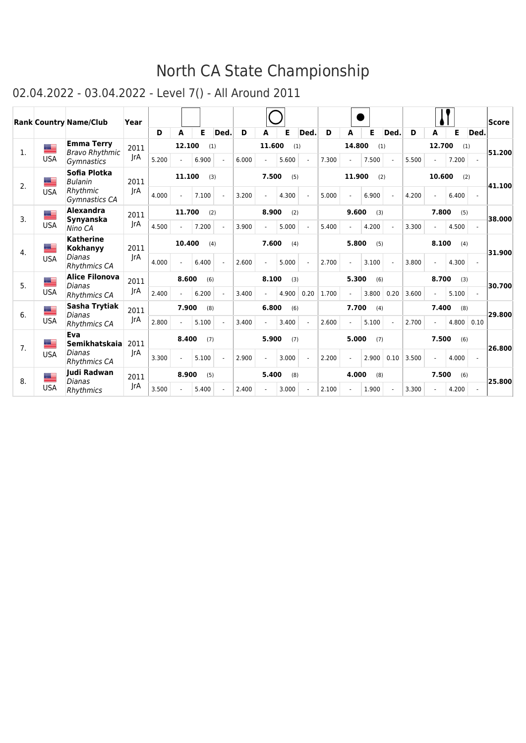|                |            | <b>Rank Country Name/Club</b>       | Year |              |                |       |      |       |        |       |        |       |                          |       |            |       |                |       |                | <b>Score</b> |
|----------------|------------|-------------------------------------|------|--------------|----------------|-------|------|-------|--------|-------|--------|-------|--------------------------|-------|------------|-------|----------------|-------|----------------|--------------|
|                |            |                                     |      | D            | A              | Е     | Ded. | D     | A      | E     | Ded.   | D     | A                        | Е     | <b>Ded</b> | D     | A              | Е     | Ded.           |              |
| $\mathbf{1}$ . | ▙          | <b>Emma Terry</b>                   | 2011 |              | 12.100         | (1)   |      |       | 11.600 | (1)   |        |       | 14.800                   | (1)   |            |       | 12.700         | (1)   |                | 51.200       |
|                | <b>USA</b> | <b>Bravo Rhythmic</b><br>Gymnastics | IrA  | 5.200        | $\sim$         | 6.900 | ٠    | 6.000 |        | 5.600 | $\sim$ | 7.300 | $\sim$                   | 7.500 |            | 5.500 |                | 7.200 |                |              |
| 2.             | ≡          | Sofia Plotka<br><b>Bulanin</b>      | 2011 |              | 11.100         | (3)   |      |       | 7.500  | (5)   |        |       | 11.900                   | (2)   |            |       | 10.600         |       | (2)            | 41.100       |
|                | <b>USA</b> | Rhythmic<br>Gymnastics CA           | IrA  | 4.000        | $\overline{a}$ | 7.100 | ÷.   | 3.200 |        | 4.300 |        | 5.000 | ä,                       | 6.900 |            | 4.200 | $\overline{a}$ | 6.400 | $\sim$         |              |
| 3.             | ▀          | Alexandra<br><b>Synyanska</b>       | 2011 |              | 11.700         | (2)   |      |       | 8.900  | (2)   |        |       | 9.600                    | (3)   |            |       | 7.800          | (5)   |                | 38,000       |
|                | <b>USA</b> | Nino CA                             | JrA  | 4.500        | ÷              | 7.200 | ÷.   | 3.900 |        | 5.000 | $\sim$ | 5.400 | ÷                        | 4.200 |            | 3.300 | ÷              | 4.500 | $\sim$         |              |
| 4.             | ▀          | <b>Katherine</b><br><b>Kokhanyy</b> | 2011 |              | 10,400         | (4)   |      |       | 7.600  | (4)   |        |       | 5.800                    | (5)   |            |       | 8.100          | (4)   |                | 31.900       |
|                | <b>USA</b> | Dianas<br><b>Rhythmics CA</b>       | IrA  | 4.000        |                | 6.400 |      | 2.600 |        | 5.000 |        | 2.700 | $\overline{\phantom{a}}$ | 3.100 |            | 3.800 |                | 4.300 |                |              |
| 5.             | ▀          | <b>Alice Filonova</b>               | 2011 |              | 8.600          | (6)   |      |       | 8.100  | (3)   |        |       | 5.300                    | (6)   |            |       | 8.700          | (3)   |                | 30.700       |
|                | <b>USA</b> | Dianas<br><b>Rhythmics CA</b>       | IrA  | 2.400        | $\sim$         | 6.200 |      | 3.400 |        | 4.900 | 0.20   | 1.700 | ÷.                       | 3.800 | 0.20       | 3.600 |                | 5.100 |                |              |
| 6.             | ▀          | Sasha Trytiak<br><b>Dianas</b>      | 2011 |              | 7.900          | (8)   |      |       | 6.800  | (6)   |        |       | 7.700                    | (4)   |            |       | 7.400          | (8)   |                | 29.800       |
|                | <b>USA</b> | <b>Rhythmics CA</b>                 | IrA  | 2.800        |                | 5.100 |      | 3.400 |        | 3.400 |        | 2.600 | $\overline{\phantom{a}}$ | 5.100 |            | 2.700 |                | 4.800 | 0.10           |              |
| 7 <sub>1</sub> | ≝          | Eva<br><b>Semikhatskaia</b>         | 2011 | 8.400<br>(7) |                |       |      |       | 5.900  | (7)   |        |       | 5.000                    | (7)   |            |       | 7.500          | (6)   |                | 26.800       |
|                | <b>USA</b> | Dianas<br><b>Rhythmics CA</b>       | IrA  | 3.300        | ÷              | 5.100 |      | 2.900 |        | 3.000 |        | 2.200 | ä,                       | 2.900 | 0.10       | 3.500 | ÷              | 4.000 | $\overline{a}$ |              |
| 8.             | ▀          | ludi Radwan<br>Dianas               | 2011 |              | 8.900          | (5)   |      |       | 5.400  | (8)   |        |       | 4.000                    | (8)   |            |       | 7.500          | (6)   |                | 25.800       |
|                | <b>USA</b> | Rhythmics                           | JrA  | 3.500        |                | 5.400 |      | 2.400 |        | 3.000 |        | 2.100 | $\ddot{\phantom{1}}$     | 1.900 |            | 3.300 |                | 4.200 | $\overline{a}$ |              |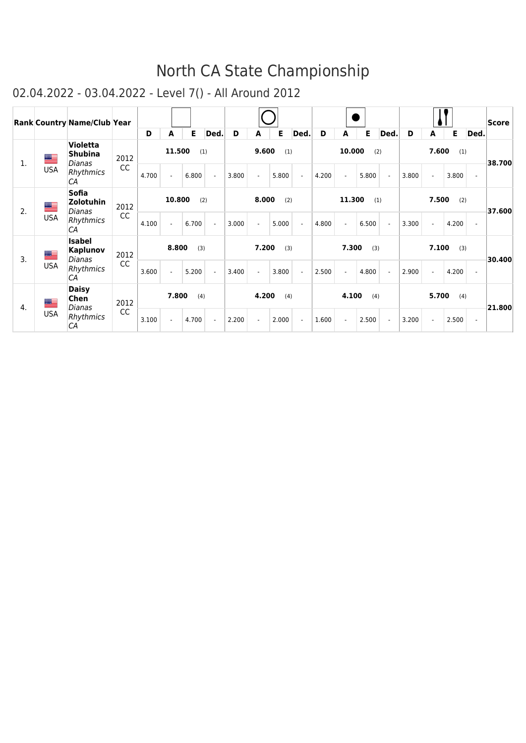|                       |            | <b>Rank Country Name/Club Year</b>          |           |       |        |       |                          |       |       |       |                       |       |        |       |                |       |       |       |                | Score  |
|-----------------------|------------|---------------------------------------------|-----------|-------|--------|-------|--------------------------|-------|-------|-------|-----------------------|-------|--------|-------|----------------|-------|-------|-------|----------------|--------|
|                       |            |                                             |           | D     | A      | E     | Ded.                     | D     | А     | E     | Ded.                  | D     | А      | Е     | Ded.           | D     | A     | E     | Ded.           |        |
| 1.                    | ▀          | <b>Violetta</b><br><b>Shubina</b><br>Dianas | 2012      |       | 11.500 |       | (1)                      |       | 9.600 | (1)   |                       |       | 10.000 | (2)   |                |       | 7.600 | (1)   |                | 38.700 |
|                       | <b>USA</b> | Rhythmics<br>CA                             | CC        | 4.700 |        | 6.800 | $\mathbf{r}$             | 3.800 |       | 5.800 | $\tilde{\phantom{a}}$ | 4.200 |        | 5.800 | $\sim$         | 3.800 |       | 3.800 | $\blacksquare$ |        |
| 2.                    | ▀          | <b>Sofia</b><br><b>Zolotuhin</b><br>Dianas  | 2012      |       | 10.800 |       | (2)                      |       | 8.000 | (2)   |                       |       | 11.300 | (1)   |                |       | 7.500 | (2)   |                | 37.600 |
|                       | <b>USA</b> | Rhythmics<br>СA                             | <b>CC</b> | 4.100 |        | 6.700 | $\sim$                   | 3.000 |       | 5.000 | $\blacksquare$        | 4.800 |        | 6.500 | $\sim$         | 3.300 |       | 4.200 | $\sim$         |        |
| ▀<br>$\overline{3}$ . |            | <b>Isabel</b><br><b>Kaplunov</b><br>Dianas  | 2012      |       | 8.800  | (3)   |                          |       | 7.200 | (3)   |                       |       | 7.300  | (3)   |                |       | 7.100 | (3)   |                | 30.400 |
|                       | <b>USA</b> | Rhythmics<br>CA                             | CC        | 3.600 |        | 5.200 | $\mathbf{r}$             | 3.400 |       | 3.800 | $\overline{a}$        | 2.500 |        | 4.800 |                | 2.900 |       | 4.200 |                |        |
| 4.                    | ▀          | <b>Daisy</b><br>Chen<br>Dianas              | 2012      |       | 7.800  | (4)   |                          |       | 4.200 | (4)   |                       |       | 4.100  | (4)   |                |       | 5.700 | (4)   |                | 21.800 |
|                       | <b>USA</b> | Rhythmics<br>CA                             | CC        | 3.100 |        | 4.700 | $\overline{\phantom{a}}$ | 2.200 |       | 2.000 | $\sim$                | 1.600 |        | 2.500 | $\blacksquare$ | 3.200 |       | 2.500 | $\sim$         |        |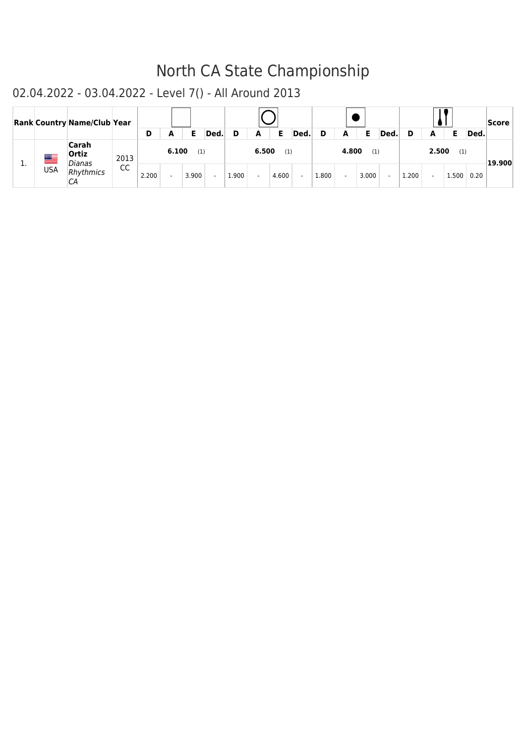|           |            | <b>Rank Country Name/Club Year</b> |      | D     | A     | Е     | Ded.                     | D     | A     | Е     | Ded.           | D     | A     |       | Ded    | D     | A     |       | Ded. | Score    |
|-----------|------------|------------------------------------|------|-------|-------|-------|--------------------------|-------|-------|-------|----------------|-------|-------|-------|--------|-------|-------|-------|------|----------|
|           | ▀          | Carah<br>Ortiz<br>Dianas           | 2013 |       | 6.100 | (1)   |                          |       | 6.500 | (1)   |                |       | 4.800 | (1)   |        |       | 2.500 | (1)   |      | ∣19.900∣ |
| <b>L.</b> | <b>USA</b> | Rhythmics<br>СA                    | CC   | 2.200 |       | 3.900 | $\overline{\phantom{a}}$ | 1.900 |       | 4.600 | $\overline{a}$ | 1.800 |       | 3.000 | $\sim$ | 1.200 |       | 1.500 | 0.20 |          |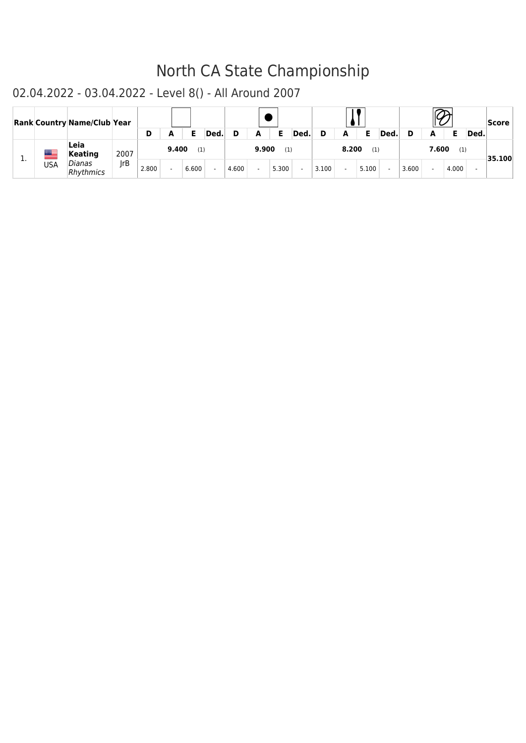|          |     | <b>Rank Country Name/Club Year</b> |             | D     |            | Е     | Ded.   |       |            | Е     | Ded.           | D     |            |       | Ded. |       |            |       | Ded. | Score  |
|----------|-----|------------------------------------|-------------|-------|------------|-------|--------|-------|------------|-------|----------------|-------|------------|-------|------|-------|------------|-------|------|--------|
|          |     | Leia                               |             |       | A<br>9.400 | (1)   |        |       | A<br>9.900 | (1)   |                |       | A<br>8.200 | (1)   |      |       | А<br>7.600 | (1)   |      |        |
| <b>.</b> | USA | Keating<br>Dianas                  | 2007<br> rB |       |            |       |        |       |            |       |                |       |            |       |      |       |            |       |      | 35.100 |
|          |     | Rhythmics                          |             | 2.800 |            | 6.600 | $\sim$ | 4.600 |            | 5.300 | $\overline{a}$ | 3.100 |            | 5.100 |      | 3.600 |            | 4.000 |      |        |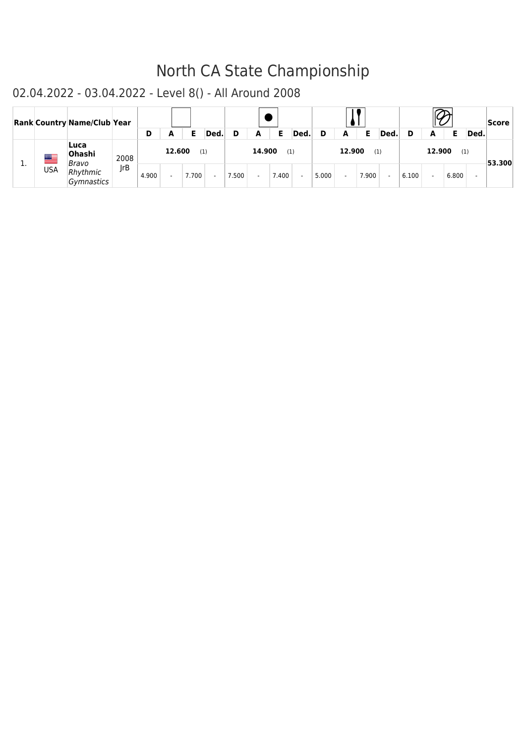|          |            | <b>Rank Country Name/Club Year</b> |      |       |        |       |        |       |        |       |        |       |        |       |            |       |        |       |      | <b>Score</b> |
|----------|------------|------------------------------------|------|-------|--------|-------|--------|-------|--------|-------|--------|-------|--------|-------|------------|-------|--------|-------|------|--------------|
|          |            |                                    |      | D     | A      |       | Ded.   | D     | A      |       | Ded.   | D     | A      |       | <b>Ded</b> | D     | A      |       | Ded. |              |
| <b>.</b> | ▆▆         | Luca<br>Ohashi<br>Bravo            | 2008 |       | 12.600 | (1)   |        |       | 14.900 | (1)   |        |       | 12.900 | (1)   |            |       | 12.900 | (1)   |      | -53.300      |
|          | <b>USA</b> | Rhythmic<br>Gymnastics             | IrB  | 4.900 |        | 7.700 | $\sim$ | 7.500 |        | 7.400 | $\sim$ | 5.000 |        | 7.900 | $\sim$     | 6.100 |        | 6.800 |      |              |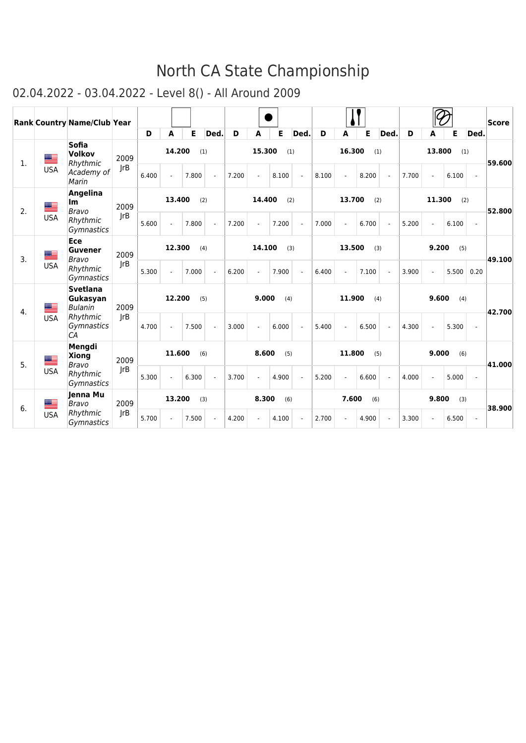|                  |            | Rank Country Name/Club Year                   |      | D             | A             | Е     | Ded.           | D     | A      | Е     | Ded.           | D     | A      | E     | Ded.           | D     | A      | Е     | Ded.          | <b>Score</b> |
|------------------|------------|-----------------------------------------------|------|---------------|---------------|-------|----------------|-------|--------|-------|----------------|-------|--------|-------|----------------|-------|--------|-------|---------------|--------------|
| $\mathbf{1}$ .   | <u>as </u> | <b>Sofia</b><br><b>Volkov</b><br>Rhythmic     | 2009 |               | 14.200        | (1)   |                |       | 15.300 |       | (1)            |       | 16.300 |       | (1)            |       | 13.800 | (1)   |               | 59.600       |
|                  | <b>USA</b> | Academy of<br>Marin                           | JrB  | 6.400         |               | 7.800 | $\sim$         | 7.200 |        | 8.100 |                | 8.100 |        | 8.200 |                | 7.700 |        | 6.100 | $\sim$        |              |
| 2.               | <u>as </u> | <b>Angelina</b><br>lm<br>Bravo                | 2009 |               | 13.400        | (2)   |                |       | 14.400 |       | (2)            |       | 13.700 |       | (2)            |       | 11.300 | (2)   |               | 52.800       |
|                  | <b>USA</b> | Rhythmic<br>Gymnastics                        | rB   | 5.600         |               | 7.800 | $\mathbf{r}$   | 7.200 |        | 7.200 | $\mathbf{r}$   | 7.000 |        | 6.700 | $\sim$         | 5.200 |        | 6.100 | $\mathcal{L}$ |              |
| $\overline{3}$ . | a an       | Ece<br>Guvener<br>Bravo                       | 2009 |               | 12.300        | (4)   |                |       | 14.100 |       | (3)            |       | 13.500 |       | (3)            |       | 9.200  | (5)   |               | 49.100       |
|                  | <b>USA</b> | Rhythmic<br><b>Gymnastics</b>                 | rB   | 5.300         |               | 7.000 | $\blacksquare$ | 6.200 |        | 7.900 | $\blacksquare$ | 6.400 |        | 7.100 | $\blacksquare$ | 3.900 |        | 5.500 | 0.20          |              |
|                  | ▇          | <b>Svetlana</b><br>Gukasyan<br><b>Bulanin</b> | 2009 |               | 12.200<br>(5) |       |                |       | 9.000  | (4)   |                |       | 11.900 |       | (4)            |       | 9.600  | (4)   |               |              |
| 4.               | <b>USA</b> | Rhythmic<br>Gymnastics<br>CA                  | rB   | 4.700         |               | 7.500 | $\blacksquare$ | 3.000 |        | 6.000 | ÷,             | 5.400 |        | 6.500 | $\blacksquare$ | 4.300 |        | 5.300 | $\mathbf{r}$  | 42.700       |
|                  | ▀          | Mengdi<br><b>Xiong</b>                        | 2009 | 11.600<br>(6) |               |       |                |       | 8.600  | (5)   |                |       | 11.800 |       | (5)            |       | 9.000  | (6)   |               |              |
| 5.               | <b>USA</b> | Bravo<br>Rhythmic<br><b>Gymnastics</b>        | rB   | 5.300         |               | 6.300 | $\blacksquare$ | 3.700 |        | 4.900 | $\mathbf{r}$   | 5.200 |        | 6.600 | $\blacksquare$ | 4.000 |        | 5.000 | $\mathbf{r}$  | 41.000       |
| 6.               | ▀          | Jenna Mu<br><b>Bravo</b>                      | 2009 |               | 13.200        | (3)   |                |       | 8.300  | (6)   |                |       | 7.600  | (6)   |                |       | 9.800  | (3)   |               | 38,900       |
|                  | <b>USA</b> | Rhythmic<br><b>Gymnastics</b>                 | rB   | 5.700         |               | 7.500 | $\omega$       | 4.200 |        | 4.100 | $\mathbf{r}$   | 2.700 |        | 4.900 | $\blacksquare$ | 3.300 |        | 6.500 | $\omega$      |              |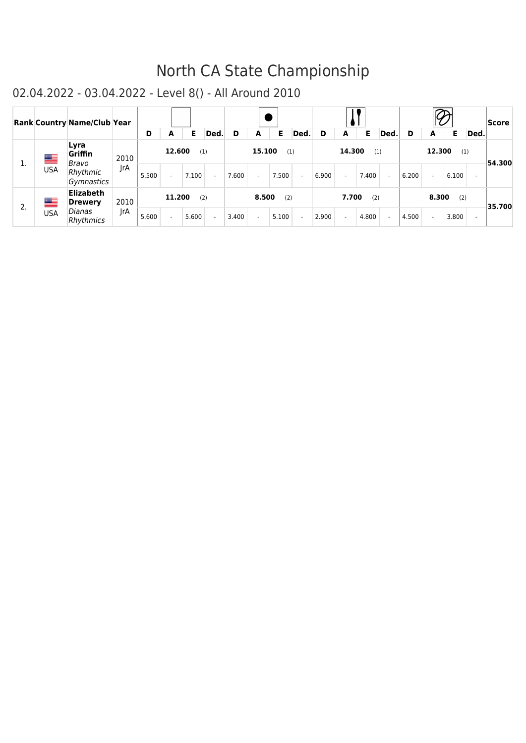|    |            | Rank Country Name/Club Year        |      |       |        |       |                          |       |                          |       |                          |       |        |       |        |       |        |       |                          | Score  |
|----|------------|------------------------------------|------|-------|--------|-------|--------------------------|-------|--------------------------|-------|--------------------------|-------|--------|-------|--------|-------|--------|-------|--------------------------|--------|
|    |            |                                    |      | D     | A      | Е     | Ded.                     | D     | A                        | Е     | Ded.                     | D     | A      | E.    | Ded.   | D     | A      | Е     | Ded.                     |        |
| ı. | ▀          | Lyra<br>Griffin<br>Bravo           | 2010 |       | 12.600 |       | (1)                      |       | 15.100                   | (1)   |                          |       | 14.300 | (1)   |        |       | 12.300 | (1)   |                          | 54.300 |
|    | <b>USA</b> | Rhythmic<br>Gymnastics             | IrA  | 5.500 |        | 7.100 | $\sim$                   | 7.600 | $\overline{\phantom{0}}$ | 7.500 | $\sim$                   | 6.900 |        | 7.400 | $\sim$ | 6.200 |        | 6.100 | $\overline{\phantom{a}}$ |        |
| 2. | ▀          | <b>Elizabeth</b><br><b>Drewery</b> | 2010 |       | 11.200 |       | (2)                      |       | 8.500                    | (2)   |                          |       | 7.700  | (2)   |        |       | 8.300  | (2)   |                          | 35.700 |
|    | <b>USA</b> | Dianas<br>Rhythmics                | JrA  | 5.600 |        | 5.600 | $\overline{\phantom{a}}$ | 3.400 |                          | 5.100 | $\overline{\phantom{a}}$ | 2.900 |        | 4.800 | $\sim$ | 4.500 |        | 3.800 | $\overline{\phantom{0}}$ |        |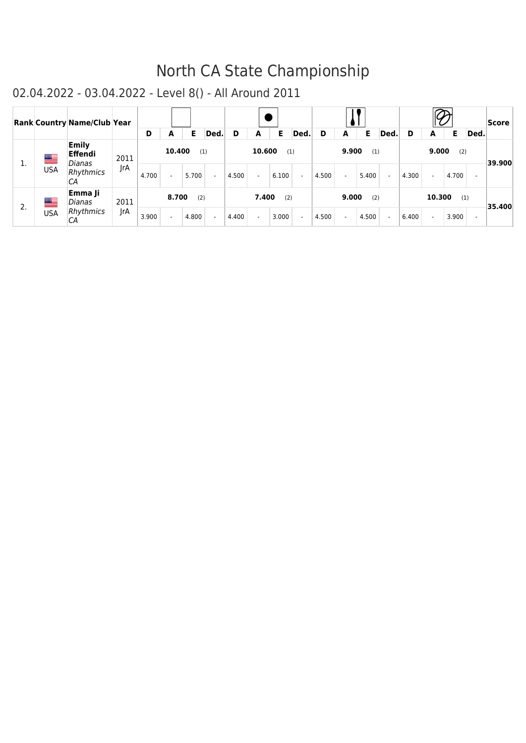|    |            | <b>Rank Country Name/Club Year</b> |      |       |        |       |        |       |        |       |        |       |       |       |        |       |        |       |                          | <b>Score</b> |
|----|------------|------------------------------------|------|-------|--------|-------|--------|-------|--------|-------|--------|-------|-------|-------|--------|-------|--------|-------|--------------------------|--------------|
|    |            |                                    |      | D     | A      | Е     | Ded.   | D     | A      | Е     | Ded.   | D     | A     | Е     | Ded.   | D     | A      | Е     | Ded.                     |              |
| ı. | ▀          | <b>Emily</b><br>Effendi<br>Dianas  | 2011 |       | 10.400 | (1)   |        |       | 10.600 | (1)   |        |       | 9.900 | (1)   |        |       | 9.000  | (2)   |                          | 39.900       |
|    | <b>USA</b> | Rhythmics<br>СA                    | IrA  | 4.700 |        | 5.700 | $\sim$ | 4.500 |        | 6.100 | $\sim$ | 4.500 |       | 5.400 | $\sim$ | 4.300 |        | 4.700 | $\overline{\phantom{0}}$ |              |
| 2. | ▀          | Emma Ji<br>Dianas                  | 2011 |       | 8.700  | (2)   |        |       | 7.400  | (2)   |        |       | 9.000 | (2)   |        |       | 10.300 | (1)   |                          | 35.400       |
|    | <b>USA</b> | Rhythmics<br>СA                    | JrA  | 3.900 |        | 4.800 | $\sim$ | 4.400 |        | 3.000 | $\sim$ | 4.500 |       | 4.500 | $\sim$ | 6.400 |        | 3.900 | $\overline{\phantom{0}}$ |              |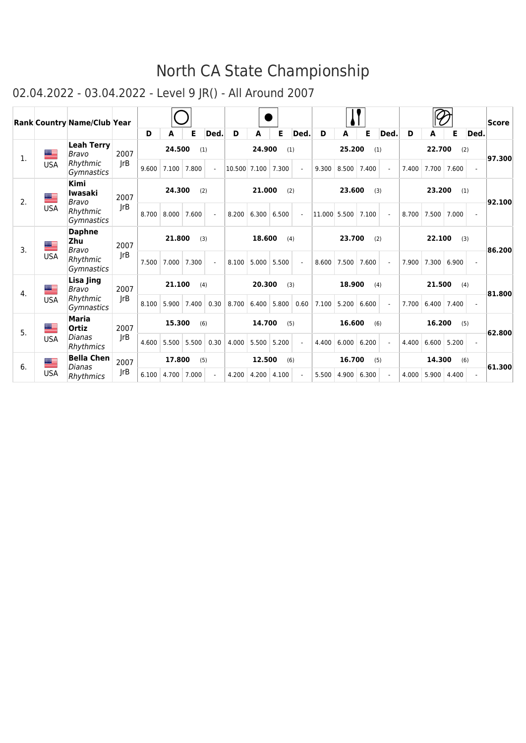|                  |            | <b>Rank Country Name/Club Year</b>     |      |       |        |               |                |              |        |               |                          |              |        |               |                |       |        |               |                          | Score  |
|------------------|------------|----------------------------------------|------|-------|--------|---------------|----------------|--------------|--------|---------------|--------------------------|--------------|--------|---------------|----------------|-------|--------|---------------|--------------------------|--------|
|                  |            |                                        |      | D     | A      | Е             | <b>Ded</b>     | D            | A      | Е             | <b>Ded</b>               | D            | A      | E             | <b>Ded</b>     | D     | A      | Е             | Ded.                     |        |
| 1.               | ▀          | <b>Leah Terry</b><br><b>Bravo</b>      | 2007 |       | 24.500 | (1)           |                |              | 24.900 | (1)           |                          |              | 25.200 | (1)           |                |       | 22.700 | (2)           |                          | 97.300 |
|                  | <b>USA</b> | Rhythmic<br><i>Gymnastics</i>          | rB   | 9.600 | 7.100  | 7.800         | $\mathbf{r}$   | 10.500 7.100 |        | 7.300         | $\overline{\phantom{a}}$ | 9.300        | 8.500  | 7.400         | $\blacksquare$ | 7.400 | 7.700  | 7.600         | $\blacksquare$           |        |
| 2.               | æ          | <b>Kimi</b><br><b>Iwasaki</b><br>Bravo | 2007 |       | 24.300 |               | (2)            |              | 21.000 | (2)           |                          |              | 23.600 | (3)           |                |       | 23.200 | (1)           |                          | 92.100 |
|                  | <b>USA</b> | Rhythmic<br>Gymnastics                 | JrB  | 8.700 | 8.000  | 7.600         | $\mathcal{L}$  | 8.200        | 6.300  | 6.500         | $\overline{\phantom{a}}$ | 11,000 5.500 |        | 7.100         |                | 8.700 | 7.500  | 7.000         | $\mathbf{r}$             |        |
| $\overline{3}$ . | ▀          | <b>Daphne</b><br>Zhu<br>Bravo          | 2007 |       |        | 21.800<br>(3) |                |              |        | 18.600<br>(4) |                          |              | 23.700 | (2)           |                |       | 22.100 | (3)           |                          | 86.200 |
|                  | <b>USA</b> | Rhythmic<br>Gymnastics                 | JrB  | 7.500 | 7.000  | 7.300         | ÷.             | 8.100        | 5.000  | 5.500         | ÷.                       | 8.600        | 7.500  | 7.600         | $\omega$       | 7.900 | 7.300  | 6.900         | $\mathbf{r}$             |        |
| 4.               | ██         | Lisa Jing<br>Bravo                     | 2007 |       | 21.100 | (4)           |                |              | 20.300 | (3)           |                          |              | 18.900 | (4)           |                |       | 21.500 | (4)           |                          | 81.800 |
|                  | <b>USA</b> | Rhythmic<br><i>Gymnastics</i>          | JrB  | 8.100 | 5.900  | 7.400         | 0.30           | 8.700        | 6.400  | 5.800         | 0.60                     | 7.100        | 5.200  | 6.600         | $\sim$         | 7.700 |        | $6.400$ 7.400 | $\mathbf{r}$             |        |
| 5.               | ▀          | <b>Maria</b><br><b>Ortiz</b>           | 2007 |       | 15.300 |               | (6)            |              | 14.700 | (5)           |                          |              | 16.600 | (6)           |                |       | 16.200 | (5)           |                          | 62.800 |
|                  | <b>USA</b> | Dianas<br>Rhythmics                    | rB   | 4.600 | 5.500  | 5.500         | 0.30           | 4.000        | 5.500  | 5.200         | $\mathbf{r}$             | 4.400        |        | 6.000   6.200 | $\omega$       | 4.400 | 6.600  | 5.200         | $\sim$                   |        |
|                  | M.         | <b>Bella Chen</b>                      | 2007 |       | 17.800 | (5)           |                |              | 12.500 | (6)           |                          |              | 16.700 | (5)           |                |       | 14.300 | (6)           |                          |        |
| 6.               | <b>USA</b> | Dianas<br>Rhythmics                    | JrB  | 6.100 | 4.700  | 7.000         | $\blacksquare$ | 4.200        | 4.200  | 4.100         | $\sim$                   | 5.500        | 4.900  | 6.300         | $\blacksquare$ | 4.000 | 5.900  | 4.400         | $\overline{\phantom{a}}$ | 61.300 |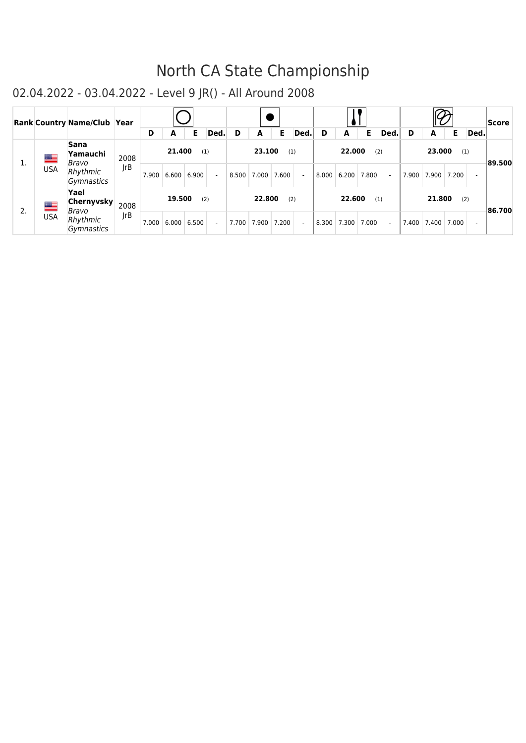|    |                 | Rank Country Name/Club Year                      |             |       |                 |       |      |                             |       |                          |       |        |                    |        |   |                       |              |                | <b>Score</b> |
|----|-----------------|--------------------------------------------------|-------------|-------|-----------------|-------|------|-----------------------------|-------|--------------------------|-------|--------|--------------------|--------|---|-----------------------|--------------|----------------|--------------|
|    |                 |                                                  |             | D     | A               | Е     | Ded. | A                           | Е     | Ded.                     | D     | A      | Е                  | Ded.   | D | A                     | Е.           | Ded.           |              |
| ı. | ▀<br><b>USA</b> | <b>Sana</b><br>Yamauchi<br>Bravo<br>Rhythmic     | 2008<br> rB | 7.900 | 21.400<br>6.600 | 6.900 | (1)  | 23.100<br>8.500 7.000 7.600 | (1)   | ÷,                       | 8.000 | 22,000 | (2)<br>6.200 7.800 | $\sim$ |   | 23.000<br>7.900 7.900 | (1)<br>7.200 | $\sim$         | ∣89.500∣     |
| 2. | ▀               | Gymnastics<br>Yael<br><b>Chernyvsky</b><br>Bravo | 2008        |       | 19.500          |       | (2)  | 22.800                      | (2)   |                          |       | 22,600 | (1)                |        |   | 21.800                | (2)          |                | ∤86.700      |
|    | <b>USA</b>      | Rhythmic<br><b>Gymnastics</b>                    | rB          | 7.000 | 6.000           | 6.500 |      | 7.700 7.900                 | 7.200 | $\overline{\phantom{a}}$ | 8.300 | 7.300  | 7.000              | $\sim$ |   | 7.400 7.400           | 7.000        | $\overline{a}$ |              |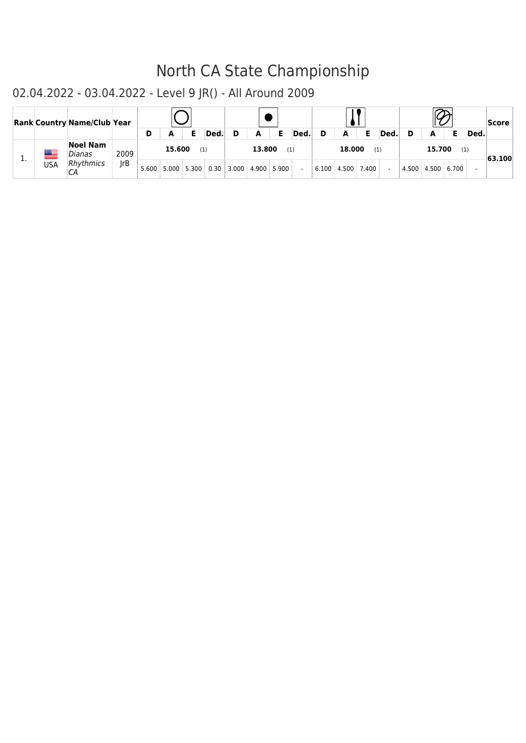|              | <b>Rank Country Name/Club Year</b> |      |       |        |                                |      |   |        |       |        |       |        |       |      |       |        |       |      | Score   |
|--------------|------------------------------------|------|-------|--------|--------------------------------|------|---|--------|-------|--------|-------|--------|-------|------|-------|--------|-------|------|---------|
|              |                                    |      | D     | A      | Е                              | Ded. | D | A      | Е     | Ded.   | D     | A      | Е     | Ded. |       |        |       | Ded. |         |
| <u> Mill</u> | <b>Noel Nam</b><br>Dianas          | 2009 |       | 15.600 | (1)                            |      |   | 13.800 | (1)   |        |       | 18,000 | (1)   |      |       | 15.700 | (1)   |      | -63.100 |
| <b>USA</b>   | <b>Rhythmics</b><br>CА             | IrB  | 5.600 |        | $5.000$ 5.300 0.30 3.000 4.900 |      |   |        | 5.900 | $\sim$ | 6.100 | 4.500  | 7.400 |      | 4.500 | 4.500  | 6.700 |      |         |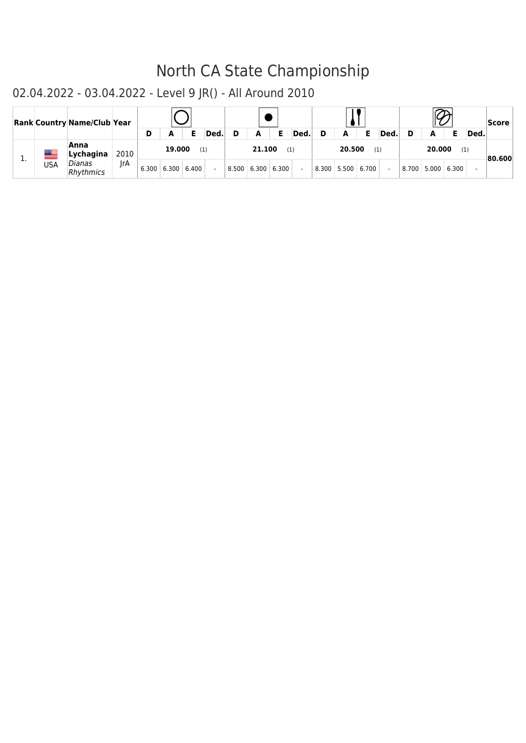|     | <b>Rank Country Name/Club Year</b> |      |   |                         |       |        |                         |       |        |   |               |       |      |             |       |      | Score   |
|-----|------------------------------------|------|---|-------------------------|-------|--------|-------------------------|-------|--------|---|---------------|-------|------|-------------|-------|------|---------|
|     |                                    |      | D | А                       | Е     | Ded.   | A                       | Е     | Ded.   | D | A             | Е     | Ded. |             |       | Ded. |         |
|     | Anna<br>Lychagina                  | 2010 |   | 19,000                  | (1)   |        | 21.100                  | (1)   |        |   | 20.500        | (1)   |      | 20.000      | (1)   |      | ∣80.600 |
| USA | Dianas<br>Rhythmics                | IrA  |   | $6.300 \mid 6.300 \mid$ | 6.400 | $\sim$ | $8.500 \mid 6.300 \mid$ | 6.300 | $\sim$ |   | $8.300$ 5.500 | 6.700 |      | 8.700 5.000 | 6.300 |      |         |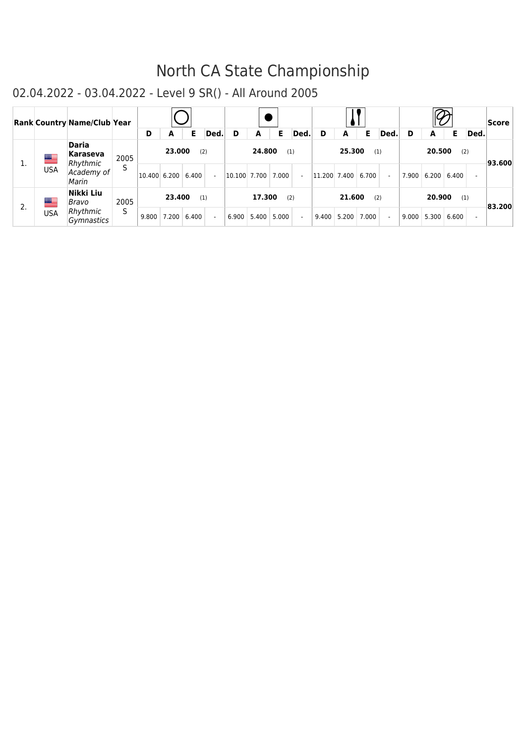|    |             | <b>Rank Country Name/Club Year</b>   |      |              |        |       |                |                  |        |       |        |              |        |       |        |       |        |       |                          | <b>Score</b> |
|----|-------------|--------------------------------------|------|--------------|--------|-------|----------------|------------------|--------|-------|--------|--------------|--------|-------|--------|-------|--------|-------|--------------------------|--------------|
|    |             |                                      |      | D            | A      | Е     | Ded.           | D                | A      | Е     | Ded.   | D            | A      | E.    | Ded.   | D     | A      | Е     | Ded.                     |              |
| 1. | <u>an a</u> | <b>Daria</b><br>Karaseva<br>Rhythmic | 2005 |              | 23,000 | (2)   |                |                  | 24.800 | (1)   |        |              | 25.300 | (1)   |        |       | 20.500 | (2)   |                          | ∤93.600      |
|    | <b>USA</b>  | Academy of<br>Marin                  | S    | 10.400 6.200 |        | 6.400 | $\sim$         | $ 10.100 $ 7.700 |        | 7.000 | $\sim$ | 11.200 7.400 |        | 6.700 | $\sim$ | 7.900 | 6.200  | 6.400 | ٠                        |              |
| 2. | ▀           | Nikki Liu<br>Bravo                   | 2005 |              | 23,400 | (1)   |                |                  | 17.300 | (2)   |        |              | 21.600 | (2)   |        |       | 20.900 | (1)   |                          | 83.200       |
|    | <b>USA</b>  | Rhythmic<br>Gymnastics               | S    | 9.800        | 7.200  | 6.400 | $\blacksquare$ | 6.900            | 5.400  | 5.000 | $\sim$ | 9.400        | 5.200  | 7.000 | $\sim$ | 9.000 | 5.300  | 6.600 | $\overline{\phantom{a}}$ |              |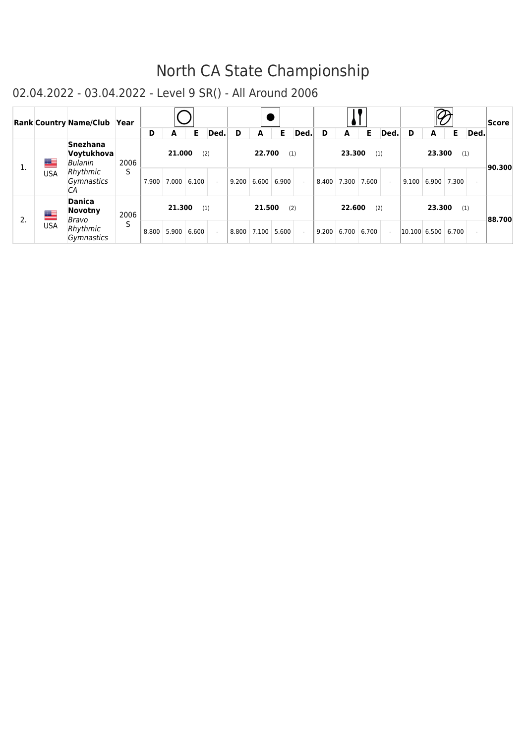|    |            | <b>Rank Country Name/Club Year</b>       |      | D     | A             | Е     | Ded. | D     | A      | Е                                  | Ded.   | D     | A      | Е                 | Ded.           | D            | A      | Е           | Ded.                     | <b>Score</b> |
|----|------------|------------------------------------------|------|-------|---------------|-------|------|-------|--------|------------------------------------|--------|-------|--------|-------------------|----------------|--------------|--------|-------------|--------------------------|--------------|
| 1. | ██         | <b>Snezhana</b><br>Voytukhova<br>Bulanin | 2006 |       | 21.000        | (2)   |      |       | 22.700 | (1)                                |        |       | 23.300 | (1)               |                |              | 23.300 | (1)         |                          | 90.300       |
|    | <b>USA</b> | Rhythmic<br>Gymnastics<br>CА             | S    | 7.900 | 7.000   6.100 |       |      |       |        | $9.200 \mid 6.600 \mid 6.900 \mid$ | $\sim$ |       |        | 8.400 7.300 7.600 | $\sim$         | 9.100        |        | 6.900 7.300 | $\overline{\phantom{a}}$ |              |
| 2. | █▆         | <b>Danica</b><br><b>Novotny</b><br>Bravo | 2006 |       | 21.300        | (1)   |      |       | 21.500 | (2)                                |        |       | 22.600 | (2)               |                |              | 23.300 | (1)         |                          | 88.700       |
|    | USA        | Rhythmic<br>Gymnastics                   | S    | 8.800 | 5.900         | 6.600 |      | 8.800 | 7.100  | 5.600                              | $\sim$ | 9.200 |        | 6.700 6.700       | $\blacksquare$ | 10.100 6.500 |        | 6.700       | $\sim$                   |              |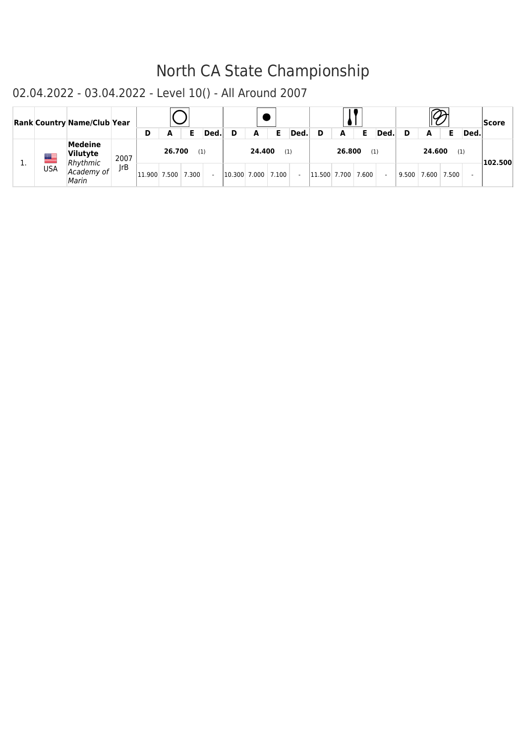|           |            | <b>Rank Country Name/Club Year</b>            |            | D      | А      |       | Ded. |                    | A      |     | Ded. | D            | A      | Е     | Ded. |       | А      |       | Ded. | Score   |
|-----------|------------|-----------------------------------------------|------------|--------|--------|-------|------|--------------------|--------|-----|------|--------------|--------|-------|------|-------|--------|-------|------|---------|
|           | ▀          | <b>Medeine</b><br><b>Vilutyte</b><br>Rhythmic | 2007       |        | 26.700 | (1)   |      |                    | 24.400 | (1) |      |              | 26.800 | (1)   |      |       | 24.600 | (1)   |      | 102.500 |
| <b>L.</b> | <b>USA</b> | Academy of<br>Marin                           | <b>IrB</b> | 11.900 | 7.500  | 7.300 |      | 10.300 7.000 7.100 |        |     |      | 11.500 7.700 |        | 7.600 |      | 9.500 | 7.600  | 7.500 |      |         |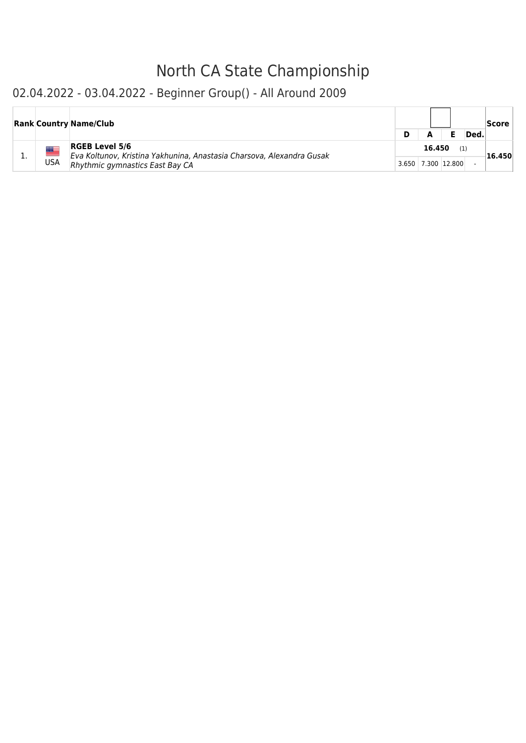### 02.04.2022 - 03.04.2022 - Beginner Group() - All Around 2009

|          |     | <b>Rank Country Name/Club</b>                                                                                                     |                    |        |     | Ded. | Score  |
|----------|-----|-----------------------------------------------------------------------------------------------------------------------------------|--------------------|--------|-----|------|--------|
| <b>.</b> | USA | <b>RGEB Level 5/6</b><br>Eva Koltunov, Kristina Yakhunina, Anastasia Charsova, Alexandra Gusak<br>Rhythmic gymnastics East Bay CA | 3.650 7.300 12.800 | 16.450 | (1) |      | 16.450 |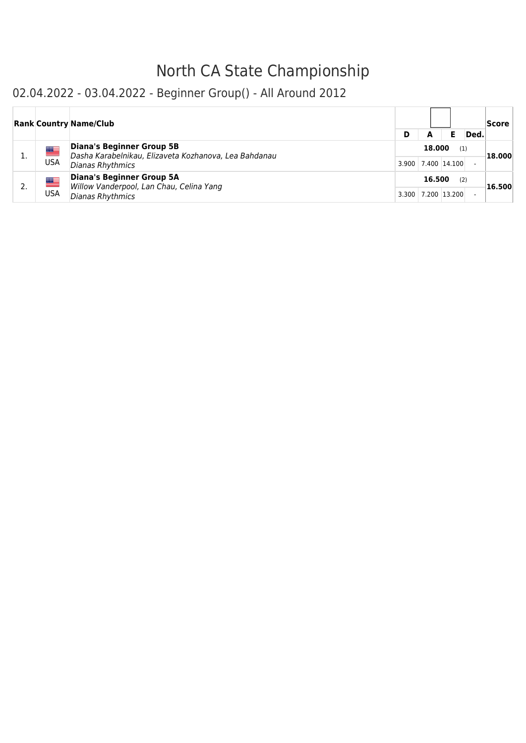### 02.04.2022 - 03.04.2022 - Beginner Group() - All Around 2012

|            | <b>Rank Country Name/Club</b>                                                      |       |                    |              |      | <b>Score</b> |
|------------|------------------------------------------------------------------------------------|-------|--------------------|--------------|------|--------------|
|            |                                                                                    | D     | А                  |              | Ded. |              |
| ▀          | Diana's Beginner Group 5B<br>Dasha Karabelnikau, Elizaveta Kozhanova, Lea Bahdanau |       | 18,000             | (1)          |      | 18.000       |
| <b>USA</b> | Dianas Rhythmics                                                                   |       | 3.900 7.400 14.100 |              |      |              |
| ▀          | <b>Diana's Beginner Group 5A</b><br>Willow Vanderpool, Lan Chau, Celina Yang       |       | 16.500             | (2)          |      | 16.500       |
| <b>USA</b> | Dianas Rhythmics                                                                   | 3.300 |                    | 7.200 13.200 |      |              |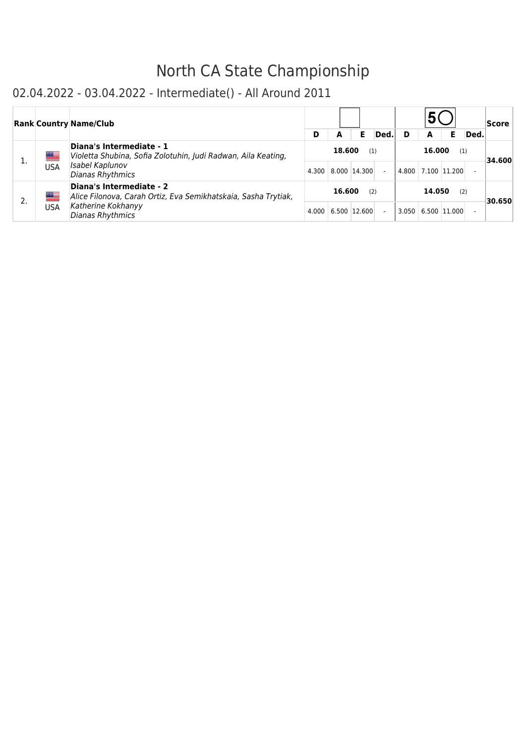### 02.04.2022 - 03.04.2022 - Intermediate() - All Around 2011

|    |     | <b>Rank Country Name/Club</b>                                                              |   |                    |     |      |                    |     |      | Score  |
|----|-----|--------------------------------------------------------------------------------------------|---|--------------------|-----|------|--------------------|-----|------|--------|
|    |     |                                                                                            | D | А                  | Е   | Ded. | A                  |     | Ded. |        |
| ı. | ▀   | Diana's Intermediate - 1<br>Violetta Shubina, Sofia Zolotuhin, Judi Radwan, Aila Keating,  |   | 18.600             | (1) |      | 16.000             | (1) |      | 34.600 |
|    | USA | Isabel Kaplunov<br>Dianas Rhythmics                                                        |   | 4.300 8.000 14.300 |     |      | 4.800 7.100 11.200 |     |      |        |
|    | ▀   | Diana's Intermediate - 2<br>Alice Filonova, Carah Ortiz, Eva Semikhatskaia, Sasha Trytiak, |   | 16.600             | (2) |      | 14.050             | (2) |      | 30.650 |
|    | USA | Katherine Kokhanyy<br>Dianas Rhythmics                                                     |   | 4.000 6.500 12.600 |     |      | 3.050 6.500 11.000 |     |      |        |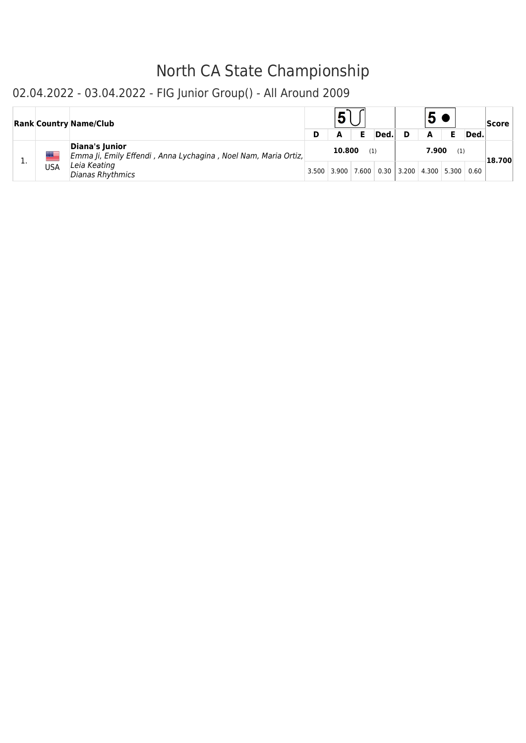### 02.04.2022 - 03.04.2022 - FIG Junior Group() - All Around 2009

|     |     | <b>Rank Country Name/Club</b>                                                    |                         | Е   | Ded. |                                       | A     |     | Ded. | Score  |
|-----|-----|----------------------------------------------------------------------------------|-------------------------|-----|------|---------------------------------------|-------|-----|------|--------|
| . . |     | Diana's Junior<br>Emma Ji, Emily Effendi, Anna Lychagina, Noel Nam, Maria Ortiz, | 10.800                  | (1) |      |                                       | 7.900 | (1) |      | 18.700 |
|     | USA | Leia Keating<br>Dianas Rhythmics                                                 | $3.500$   3.900   7.600 |     |      | $0.30$   3.200   4.300   5.300   0.60 |       |     |      |        |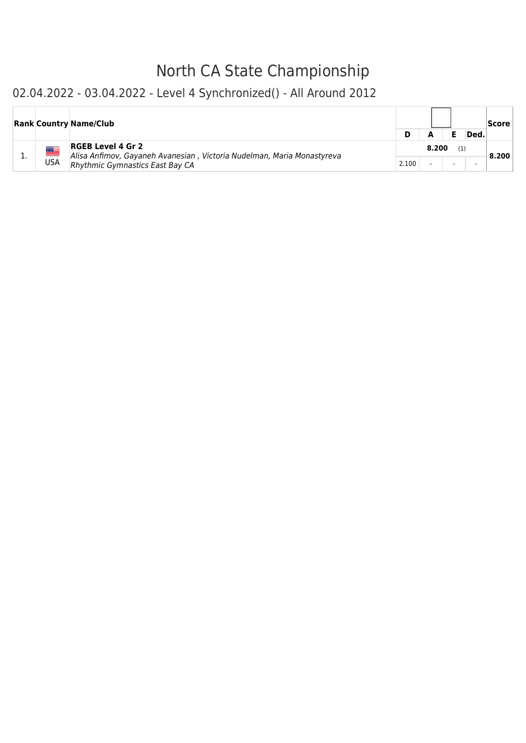### 02.04.2022 - 03.04.2022 - Level 4 Synchronized() - All Around 2012

|     | <b>Rank Country Name/Club</b>                                                                                                         |       |       | Ded. | Score |
|-----|---------------------------------------------------------------------------------------------------------------------------------------|-------|-------|------|-------|
| USA | <b>RGEB Level 4 Gr 2</b><br>Alisa Anfimov, Gayaneh Avanesian, Victoria Nudelman, Maria Monastyreva<br>Rhythmic Gymnastics East Bay CA | 2.100 | 8.200 |      | 8.200 |